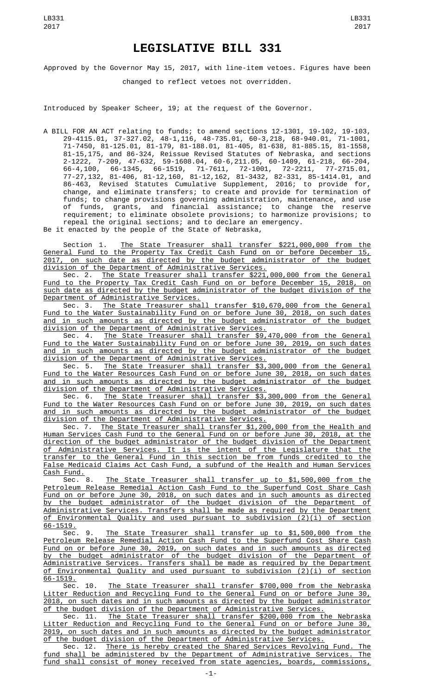Approved by the Governor May 15, 2017, with line-item vetoes. Figures have been changed to reflect vetoes not overridden.

Introduced by Speaker Scheer, 19; at the request of the Governor.

A BILL FOR AN ACT relating to funds; to amend sections 12-1301, 19-102, 19-103, 29-4115.01, 37-327.02, 48-1,116, 48-735.01, 60-3,218, 68-940.01, 71-1001, 71-7450, 81-125.01, 81-179, 81-188.01, 81-405, 81-638, 81-885.15, 81-1558, 81-15,175, and 86-324, Reissue Revised Statutes of Nebraska, and sections 2-1222, 7-209, 47-632, 59-1608.04, 60-6,211.05, 60-1409, 61-218, 66-204, 66-4,100, 66-1345, 66-1519, 71-7611, 72-1001, 72-2211, 77-2715.01, 77-27,132, 81-406, 81-12,160, 81-12,162, 81-3432, 82-331, 85-1414.01, and 86-463, Revised Statutes Cumulative Supplement, 2016; to provide for, change, and eliminate transfers; to create and provide for termination of funds; to change provisions governing administration, maintenance, and use of funds, grants, and financial assistance; to change the reserve requirement; to eliminate obsolete provisions; to harmonize provisions; to repeal the original sections; and to declare an emergency.

Be it enacted by the people of the State of Nebraska,

Section 1. The State Treasurer shall transfer \$221,000,000 from the General Fund to the Property Tax Credit Cash Fund on or before December 15, 2017, on such date as directed by the budget administrator of the budget division of the Department of Administrative Services.

Sec. 2. The State Treasurer shall transfer \$221,000,000 from the General Fund to the Property Tax Credit Cash Fund on or before December 15, 2018, on such date as directed by the budget administrator of the budget division of the <u>Department of Administrative Services.</u><br>Sec. 3. The State Treasurer sha

The State Treasurer shall transfer \$10,670,000 from the General Fund to the Water Sustainability Fund on or before June 30, 2018, on such dates and in such amounts as directed by the budget administrator of the budget division of the Department of Administrative Services.

Sec. 4. The State Treasurer shall transfer \$9,470,000 from the General Fund to the Water Sustainability Fund on or before June 30, 2019, on such dates and in such amounts as directed by the budget administrator of the budget division of the Department of Administrative Services.

Sec. 5. The State Treasurer shall transfer \$3,300,000 from the General Fund to the Water Resources Cash Fund on or before June 30, 2018, on such dates and in such amounts as directed by the budget administrator of the budget division of the Department of Administrative Services.

Sec. 6. The State Treasurer shall transfer \$3,300,000 from the General Fund to the Water Resources Cash Fund on or before June 30, 2019, on such dates and in such amounts as directed by the budget administrator of the budget division of the Department of Administrative Services.

Sec. 7. The State Treasurer shall transfer \$1,200,000 from the Health and Human Services Cash Fund to the General Fund on or before June 30, 2018, at the direction of the budget administrator of the budget division of the Department of Administrative Services. It is the intent of the Legislature that the transfer to the General Fund in this section be from funds credited to the False Medicaid Claims Act Cash Fund, a subfund of the Health and Human Services

Cash Fund.<br>Sec. 8. The State Treasurer shall transfer up to \$1,500,000 from the Petroleum Release Remedial Action Cash Fund to the Superfund Cost Share Cash Fund on or before June 30, 2018, on such dates and in such amounts as directed by the budget administrator of the budget division of the Department of Administrative Services. Transfers shall be made as required by the Department of Environmental Quality and used pursuant to subdivision (2)(i) of section 66-1519.

Sec. 9. The State Treasurer shall transfer up to \$1,500,000 from the Petroleum Release Remedial Action Cash Fund to the Superfund Cost Share Cash Fund on or before June 30, 2019, on such dates and in such amounts as directed by the budget administrator of the budget division of the Department of Administrative Services. Transfers shall be made as required by the Department of Environmental Quality and used pursuant to subdivision (2)(i) of section <u>66-1519.</u><br>.Sec

10. The State Treasurer shall transfer \$700,000 from the Nebraska Litter Reduction and Recycling Fund to the General Fund on or before June 30, 2018, on such dates and in such amounts as directed by the budget administrator of the budget division of the Department of Administrative Services.

Sec. 11. The State Treasurer shall transfer \$200,000 from the Nebraska Litter Reduction and Recycling Fund to the General Fund on or before June 30, 2019, on such dates and in such amounts as directed by the budget administrator of the budget division of the Department of Administrative Services.

Sec. 12. There is hereby created the Shared Services Revolving Fund. The fund shall be administered by the Department of Administrative Services. The fund shall consist of money received from state agencies, boards, commissions,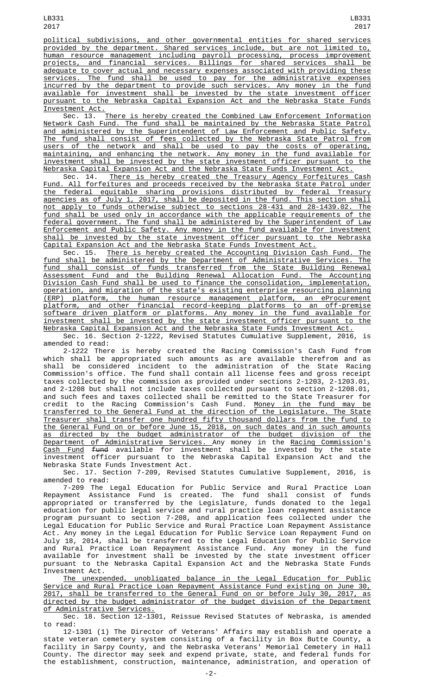political subdivisions, and other governmental entities for shared services provided by the department. Shared services include, but are not limited to, human resource management including payroll processing, process improvement projects, and financial services. Billings for shared services shall be adequate to cover actual and necessary expenses associated with providing these services. The fund shall be used to pay for the administrative expenses incurred by the department to provide such services. Any money in the fund available for investment shall be invested by the state investment officer pursuant to the Nebraska Capital Expansion Act and the Nebraska State Funds Investment Act.

Sec. 13. There is hereby created the Combined Law Enforcement Information Network Cash Fund. The fund shall be maintained by the Nebraska State Patrol and administered by the Superintendent of Law Enforcement and Public Safety. The fund shall consist of fees collected by the Nebraska State Patrol from users of the network and shall be used to pay the costs of operating, maintaining, and enhancing the network. Any money in the fund available for investment shall be invested by the state investment officer pursuant to the Nebraska Capital Expansion Act and the Nebraska State Funds Investment Act. Nebraska Capital Expansion Act and the Nebraska State Funds Investment Act.

Sec. 14. There is hereby created the Treasury Agency Forfeitures Cash Fund. All forfeitures and proceeds received by the Nebraska State Patrol under the federal equitable sharing provisions distributed by federal Treasury agencies as of July 1, 2017, shall be deposited in the fund. This section shall not apply to funds otherwise subject to sections 28-431 and 28-1439.02. The fund shall be used only in accordance with the applicable requirements of the federal government. The fund shall be administered by the Superintendent of Law Enforcement and Public Safety. Any money in the fund available for investment shall be invested by the state investment officer pursuant to the Nebraska

Capital Expansion Act and the Nebraska State Funds Investment Act. There is hereby created the Accounting Division Cash Fund. The fund shall be administered by the Department of Administrative Services. The fund shall consist of funds transferred from the State Building Renewal Assessment Fund and the Building Renewal Allocation Fund. The Accounting Division Cash Fund shall be used to finance the consolidation, implementation, operation, and migration of the state's existing enterprise resourcing planning (ERP) platform, the human resource management platform, an eProcurement platform, and other financial record-keeping platforms to an off-premise software driven platform or platforms. Any money in the fund available for investment shall be invested by the state investment officer pursuant to the Nebraska Capital Expansion Act and the Nebraska State Funds Investment Act.

Sec. 16. Section 2-1222, Revised Statutes Cumulative Supplement, 2016, is amended to read:

2-1222 There is hereby created the Racing Commission's Cash Fund from which shall be appropriated such amounts as are available therefrom and as shall be considered incident to the administration of the State Racing Commission's office. The fund shall contain all license fees and gross receipt taxes collected by the commission as provided under sections 2-1203, 2-1203.01, and 2-1208 but shall not include taxes collected pursuant to section 2-1208.01, and such fees and taxes collected shall be remitted to the State Treasurer for credit to the Racing Commission's Cash Fund. <u>Money in the fund may be</u> transferred to the General Fund at the direction of the Legislature. The State Treasurer shall transfer one hundred fifty thousand dollars from the fund to the General Fund on or before June 15, 2018, on such dates and in such amounts as directed by the budget administrator of the budget division of the Department of Administrative Services. Any money in the Racing Commission's <u>Cash Fund</u> <del>fund</del> available for investment shall be invested by the state investment officer pursuant to the Nebraska Capital Expansion Act and the Nebraska State Funds Investment Act.

Sec. 17. Section 7-209, Revised Statutes Cumulative Supplement, 2016, is amended to read:

7-209 The Legal Education for Public Service and Rural Practice Loan Repayment Assistance Fund is created. The fund shall consist of funds appropriated or transferred by the Legislature, funds donated to the legal education for public legal service and rural practice loan repayment assistance program pursuant to section 7-208, and application fees collected under the Legal Education for Public Service and Rural Practice Loan Repayment Assistance Act. Any money in the Legal Education for Public Service Loan Repayment Fund on July 18, 2014, shall be transferred to the Legal Education for Public Service and Rural Practice Loan Repayment Assistance Fund. Any money in the fund available for investment shall be invested by the state investment officer pursuant to the Nebraska Capital Expansion Act and the Nebraska State Funds Investment Act.

The unexpended, unobligated balance in the Legal Education for Public Service and Rural Practice Loan Repayment Assistance Fund existing on June 30, 2017, shall be transferred to the General Fund on or before July 30, 2017, as directed by the budget administrator of the budget division of the Department of Administrative Services.

Sec. 18. Section 12-1301, Reissue Revised Statutes of Nebraska, is amended to read:

12-1301 (1) The Director of Veterans' Affairs may establish and operate a state veteran cemetery system consisting of a facility in Box Butte County, a facility in Sarpy County, and the Nebraska Veterans' Memorial Cemetery in Hall County. The director may seek and expend private, state, and federal funds for the establishment, construction, maintenance, administration, and operation of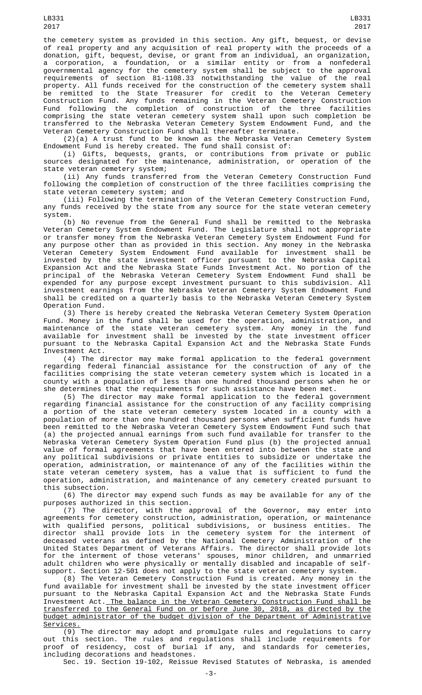the cemetery system as provided in this section. Any gift, bequest, or devise of real property and any acquisition of real property with the proceeds of a donation, gift, bequest, devise, or grant from an individual, an organization, a corporation, a foundation, or a similar entity or from a nonfederal governmental agency for the cemetery system shall be subject to the approval requirements of section 81-1108.33 notwithstanding the value of the real property. All funds received for the construction of the cemetery system shall be remitted to the State Treasurer for credit to the Veteran Cemetery Construction Fund. Any funds remaining in the Veteran Cemetery Construction Fund following the completion of construction of the three facilities comprising the state veteran cemetery system shall upon such completion be transferred to the Nebraska Veteran Cemetery System Endowment Fund, and the Veteran Cemetery Construction Fund shall thereafter terminate.

(2)(a) A trust fund to be known as the Nebraska Veteran Cemetery System Endowment Fund is hereby created. The fund shall consist of:

(i) Gifts, bequests, grants, or contributions from private or public sources designated for the maintenance, administration, or operation of the state veteran cemetery system;

(ii) Any funds transferred from the Veteran Cemetery Construction Fund following the completion of construction of the three facilities comprising the state veteran cemetery system; and

(iii) Following the termination of the Veteran Cemetery Construction Fund, any funds received by the state from any source for the state veteran cemetery system.

(b) No revenue from the General Fund shall be remitted to the Nebraska Veteran Cemetery System Endowment Fund. The Legislature shall not appropriate or transfer money from the Nebraska Veteran Cemetery System Endowment Fund for any purpose other than as provided in this section. Any money in the Nebraska Veteran Cemetery System Endowment Fund available for investment shall be invested by the state investment officer pursuant to the Nebraska Capital Expansion Act and the Nebraska State Funds Investment Act. No portion of the principal of the Nebraska Veteran Cemetery System Endowment Fund shall be expended for any purpose except investment pursuant to this subdivision. All investment earnings from the Nebraska Veteran Cemetery System Endowment Fund shall be credited on a quarterly basis to the Nebraska Veteran Cemetery System Operation Fund.

(3) There is hereby created the Nebraska Veteran Cemetery System Operation Fund. Money in the fund shall be used for the operation, administration, and maintenance of the state veteran cemetery system. Any money in the fund available for investment shall be invested by the state investment officer pursuant to the Nebraska Capital Expansion Act and the Nebraska State Funds Investment Act.

(4) The director may make formal application to the federal government regarding federal financial assistance for the construction of any of the facilities comprising the state veteran cemetery system which is located in a county with a population of less than one hundred thousand persons when he or she determines that the requirements for such assistance have been met.

(5) The director may make formal application to the federal government regarding financial assistance for the construction of any facility comprising a portion of the state veteran cemetery system located in a county with a population of more than one hundred thousand persons when sufficient funds have been remitted to the Nebraska Veteran Cemetery System Endowment Fund such that (a) the projected annual earnings from such fund available for transfer to the Nebraska Veteran Cemetery System Operation Fund plus (b) the projected annual value of formal agreements that have been entered into between the state and any political subdivisions or private entities to subsidize or undertake the operation, administration, or maintenance of any of the facilities within the state veteran cemetery system, has a value that is sufficient to fund the operation, administration, and maintenance of any cemetery created pursuant to this subsection.

(6) The director may expend such funds as may be available for any of the purposes authorized in this section.

(7) The director, with the approval of the Governor, may enter into agreements for cemetery construction, administration, operation, or maintenance with qualified persons, political subdivisions, or business entities. The director shall provide lots in the cemetery system for the interment of deceased veterans as defined by the National Cemetery Administration of the United States Department of Veterans Affairs. The director shall provide lots for the interment of those veterans' spouses, minor children, and unmarried adult children who were physically or mentally disabled and incapable of selfsupport. Section 12-501 does not apply to the state veteran cemetery system.

(8) The Veteran Cemetery Construction Fund is created. Any money in the fund available for investment shall be invested by the state investment officer pursuant to the Nebraska Capital Expansion Act and the Nebraska State Funds Investment Act. The balance in the Veteran Cemetery Construction Fund shall be transferred to the General Fund on or before June 30, 2018, as directed by the budget administrator of the budget division of the Department of Administrative Services.

(9) The director may adopt and promulgate rules and regulations to carry out this section. The rules and regulations shall include requirements for proof of residency, cost of burial if any, and standards for cemeteries, including decorations and headstones.

Sec. 19. Section 19-102, Reissue Revised Statutes of Nebraska, is amended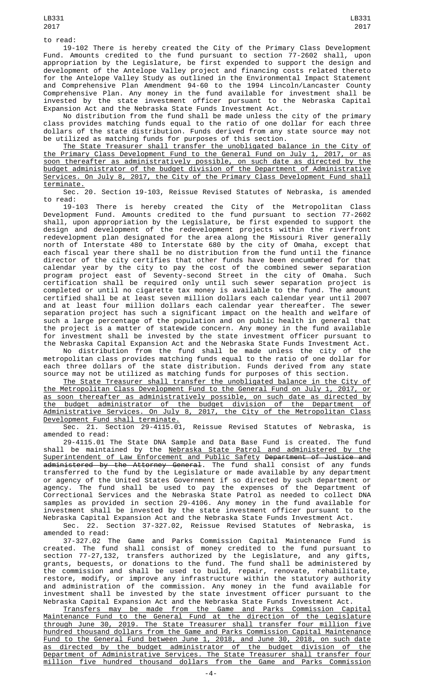19-102 There is hereby created the City of the Primary Class Development Fund. Amounts credited to the fund pursuant to section 77-2602 shall, upon appropriation by the Legislature, be first expended to support the design and development of the Antelope Valley project and financing costs related thereto for the Antelope Valley Study as outlined in the Environmental Impact Statement and Comprehensive Plan Amendment 94-60 to the 1994 Lincoln/Lancaster County Comprehensive Plan. Any money in the fund available for investment shall be invested by the state investment officer pursuant to the Nebraska Capital Expansion Act and the Nebraska State Funds Investment Act.

No distribution from the fund shall be made unless the city of the primary class provides matching funds equal to the ratio of one dollar for each three dollars of the state distribution. Funds derived from any state source may not be utilized as matching funds for purposes of this section.

The State Treasurer shall transfer the unobligated balance in the City of the Primary Class Development Fund to the General Fund on July 1, 2017, or as soon thereafter as administratively possible, on such date as directed by the budget administrator of the budget division of the Department of Administrative Services. On July 8, 2017, the City of the Primary Class Development Fund shall terminate.

Sec. 20. Section 19-103, Reissue Revised Statutes of Nebraska, is amended to read:

19-103 There is hereby created the City of the Metropolitan Class Development Fund. Amounts credited to the fund pursuant to section 77-2602 shall, upon appropriation by the Legislature, be first expended to support the design and development of the redevelopment projects within the riverfront design and development of the redevelopment projects within the riverfront redevelopment plan designated for the area along the Missouri River generally north of Interstate 480 to Interstate 680 by the city of Omaha, except that each fiscal year there shall be no distribution from the fund until the finance director of the city certifies that other funds have been encumbered for that calendar year by the city to pay the cost of the combined sewer separation program project east of Seventy-second Street in the city of Omaha. Such certification shall be required only until such sewer separation project is completed or until no cigarette tax money is available to the fund. The amount certified shall be at least seven million dollars each calendar year until 2007 and at least four million dollars each calendar year thereafter. The sewer separation project has such a significant impact on the health and welfare of such a large percentage of the population and on public health in general that the project is a matter of statewide concern. Any money in the fund available for investment shall be invested by the state investment officer pursuant to the Nebraska Capital Expansion Act and the Nebraska State Funds Investment Act.

No distribution from the fund shall be made unless the city of the metropolitan class provides matching funds equal to the ratio of one dollar for each three dollars of the state distribution. Funds derived from any state source may not be utilized as matching funds for purposes of this section.

The State Treasurer shall transfer the unobligated balance in the City of the Metropolitan Class Development Fund to the General Fund on July 1, 2017, or as soon thereafter as administratively possible, on such date as directed by the budget administrator of the budget division of the Department of Administrative Services. On July 8, 2017, the City of the Metropolitan Class Development Fund shall terminate.

Sec. 21. Section  $\overline{29-4115.01}$ , Reissue Revised Statutes of Nebraska, is amended to read:

29-4115.01 The State DNA Sample and Data Base Fund is created. The fund shall be maintained by the <u>Nebraska State Patrol and administered by the</u> Superintendent of Law Enforcement and Public Safety Department of Justice and administered by the Attorney General. The fund shall consist of any funds transferred to the fund by the Legislature or made available by any department or agency of the United States Government if so directed by such department or agency. The fund shall be used to pay the expenses of the Department of Correctional Services and the Nebraska State Patrol as needed to collect DNA samples as provided in section 29-4106. Any money in the fund available for investment shall be invested by the state investment officer pursuant to the Nebraska Capital Expansion Act and the Nebraska State Funds Investment Act.

Sec. 22. Section 37-327.02, Reissue Revised Statutes of Nebraska, is amended to read:

37-327.02 The Game and Parks Commission Capital Maintenance Fund is created. The fund shall consist of money credited to the fund pursuant to section 77-27,132, transfers authorized by the Legislature, and any gifts, grants, bequests, or donations to the fund. The fund shall be administered by the commission and shall be used to build, repair, renovate, rehabilitate, restore, modify, or improve any infrastructure within the statutory authority and administration of the commission. Any money in the fund available for investment shall be invested by the state investment officer pursuant to the Nebraska Capital Expansion Act and the Nebraska State Funds Investment Act.

Transfers may be made from the Game and Parks Commission Capital Maintenance Fund to the General Fund at the direction of the Legislature through June 30, 2019. The State Treasurer shall transfer four million five hundred thousand dollars from the Game and Parks Commission Capital Maintenance Fund to the General Fund between June 1, 2018, and June 30, 2018, on such date as directed by the budget administrator of the budget division of the Department of Administrative Services. The State Treasurer shall transfer four million five hundred thousand dollars from the Game and Parks Commission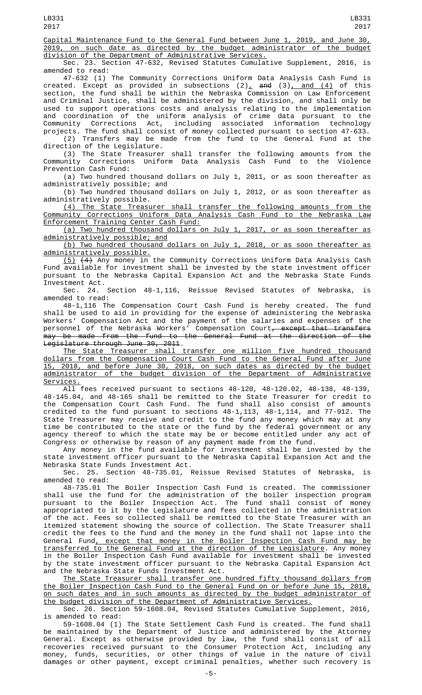Capital Maintenance Fund to the General Fund between June 1, 2019, and June 30, 2019, on such date as directed by the budget administrator of the budget division of the Department of Administrative Services.

Sec. 23. Section 47-632, Revised Statutes Cumulative Supplement, 2016, is amended to read:

47-632 (1) The Community Corrections Uniform Data Analysis Cash Fund is created. Except as provided in subsections (2)<u>,</u> <del>and</del> (3)<u>, and (4)</u> of this section, the fund shall be within the Nebraska Commission on Law Enforcement and Criminal Justice, shall be administered by the division, and shall only be used to support operations costs and analysis relating to the implementation and coordination of the uniform analysis of crime data pursuant to the Community Corrections Act, including associated information technology projects. The fund shall consist of money collected pursuant to section 47-633.

(2) Transfers may be made from the fund to the General Fund at the direction of the Legislature.

(3) The State Treasurer shall transfer the following amounts from the<br>Inity Corrections Uniform Data Analysis Cash Fund to the Violence Community Corrections Uniform Data Analysis Cash Fund to the Violence Prevention Cash Fund:

(a) Two hundred thousand dollars on July 1, 2011, or as soon thereafter as administratively possible; and

(b) Two hundred thousand dollars on July 1, 2012, or as soon thereafter as administratively possible.

(4) The State Treasurer shall transfer the following amounts from the Community Corrections Uniform Data Analysis Cash Fund to the Nebraska Law Enforcement Training Center Cash Fund:

(a) Two hundred thousand dollars on July 1, 2017, or as soon thereafter as administratively possible; and

(b) Two hundred thousand dollars on July 1, 2018, or as soon thereafter as administratively possible.

(5) (4) Any money in the Community Corrections Uniform Data Analysis Cash Fund available for investment shall be invested by the state investment officer pursuant to the Nebraska Capital Expansion Act and the Nebraska State Funds Investment Act.

Sec. 24. Section 48-1,116, Reissue Revised Statutes of Nebraska, is amended to read:

48-1,116 The Compensation Court Cash Fund is hereby created. The fund shall be used to aid in providing for the expense of administering the Nebraska Workers' Compensation Act and the payment of the salaries and expenses of the personnel of the Nebraska Workers' Compensation Court<del>, except that transfers</del> may be made from the fund to the General Fund at the direction of the Legislature through June 30, 2011.

The State Treasurer shall transfer one million five hundred thousand dollars from the Compensation Court Cash Fund to the General Fund after June 15, 2018, and before June 30, 2018, on such dates as directed by the budget administrator of the budget division of the Department of Administrative <u>Services.</u>

All fees received pursuant to sections 48-120, 48-120.02, 48-138, 48-139, 48-145.04, and 48-165 shall be remitted to the State Treasurer for credit to the Compensation Court Cash Fund. The fund shall also consist of amounts credited to the fund pursuant to sections 48-1,113, 48-1,114, and 77-912. The State Treasurer may receive and credit to the fund any money which may at any time be contributed to the state or the fund by the federal government or any agency thereof to which the state may be or become entitled under any act of Congress or otherwise by reason of any payment made from the fund.

Any money in the fund available for investment shall be invested by the state investment officer pursuant to the Nebraska Capital Expansion Act and the Nebraska State Funds Investment Act.<br>Sec. 25. Section 48-735.01,

Reissue Revised Statutes of Nebraska, is amended to read:

48-735.01 The Boiler Inspection Cash Fund is created. The commissioner shall use the fund for the administration of the boiler inspection program pursuant to the Boiler Inspection Act. The fund shall consist of money appropriated to it by the Legislature and fees collected in the administration of the act. Fees so collected shall be remitted to the State Treasurer with an itemized statement showing the source of collection. The State Treasurer shall credit the fees to the fund and the money in the fund shall not lapse into the General Fund, except that money in the Boiler Inspection Cash Fund may be transferred to the General Fund at the direction of the Legislature. Any money in the Boiler Inspection Cash Fund available for investment shall be invested by the state investment officer pursuant to the Nebraska Capital Expansion Act and the Nebraska State Funds Investment Act.

The State Treasurer shall transfer one hundred fifty thousand dollars from the Boiler Inspection Cash Fund to the General Fund on or before June 15, 2018, on such dates and in such amounts as directed by the budget administrator of the budget division of the Department of Administrative Services.

Sec. 26. Section 59-1608.04, Revised Statutes Cumulative Supplement, 2016, is amended to read:

59-1608.04 (1) The State Settlement Cash Fund is created. The fund shall be maintained by the Department of Justice and administered by the Attorney General. Except as otherwise provided by law, the fund shall consist of all recoveries received pursuant to the Consumer Protection Act, including any money, funds, securities, or other things of value in the nature of civil damages or other payment, except criminal penalties, whether such recovery is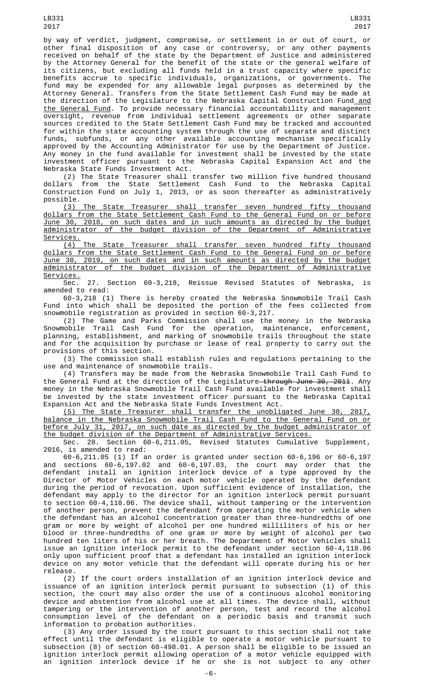LB331 2017

by way of verdict, judgment, compromise, or settlement in or out of court, or other final disposition of any case or controversy, or any other payments received on behalf of the state by the Department of Justice and administered by the Attorney General for the benefit of the state or the general welfare of its citizens, but excluding all funds held in a trust capacity where specific benefits accrue to specific individuals, organizations, or governments. The fund may be expended for any allowable legal purposes as determined by the Attorney General. Transfers from the State Settlement Cash Fund may be made at the direction of the Legislature to the Nebraska Capital Construction Fund\_<u>and</u> the General Fund. To provide necessary financial accountability and management oversight, revenue from individual settlement agreements or other separate sources credited to the State Settlement Cash Fund may be tracked and accounted for within the state accounting system through the use of separate and distinct funds, subfunds, or any other available accounting mechanism specifically approved by the Accounting Administrator for use by the Department of Justice. Any money in the fund available for investment shall be invested by the state investment officer pursuant to the Nebraska Capital Expansion Act and the Nebraska State Funds Investment Act.

(2) The State Treasurer shall transfer two million five hundred thousand dollars from the State Settlement Cash Fund to the Nebraska Capital Construction Fund on July 1, 2013, or as soon thereafter as administratively possible.

(3) The State Treasurer shall transfer seven hundred fifty thousand dollars from the State Settlement Cash Fund to the General Fund on or before June 30, 2018, on such dates and in such amounts as directed by the budget administrator of the budget division of the Department of Administrative Services.

(4) The State Treasurer shall transfer seven hundred fifty thousand dollars from the State Settlement Cash Fund to the General Fund on or before June 30, 2019, on such dates and in such amounts as directed by the budget administrator of the budget division of the Department of Administrative Services.<br>Sec.

27. Section 60-3,218, Reissue Revised Statutes of Nebraska, amended to read:

60-3,218 (1) There is hereby created the Nebraska Snowmobile Trail Cash Fund into which shall be deposited the portion of the fees collected from snowmobile registration as provided in section 60-3,217.

(2) The Game and Parks Commission shall use the money in the Nebraska Snowmobile Trail Cash Fund for the operation, maintenance, enforcement, planning, establishment, and marking of snowmobile trails throughout the state and for the acquisition by purchase or lease of real property to carry out the provisions of this section.

(3) The commission shall establish rules and regulations pertaining to the use and maintenance of snowmobile trails.

(4) Transfers may be made from the Nebraska Snowmobile Trail Cash Fund to the General Fund at the direction of the Legislature–through June 30, 2011. Any money in the Nebraska Snowmobile Trail Cash Fund available for investment shall be invested by the state investment officer pursuant to the Nebraska Capital Expansion Act and the Nebraska State Funds Investment Act.

(5) The State Treasurer shall transfer the unobligated June 30, 2017, balance in the Nebraska Snowmobile Trail Cash Fund to the General Fund on or before July 31, 2017, on such date as directed by the budget administrator of the budget division of the Department of Administrative Services.

Sec. 28. Section 60-6,211.05, Revised Statutes Cumulative Supplement, 2016, is amended to read:

60-6,211.05 (1) If an order is granted under section 60-6,196 or 60-6,197 and sections 60-6,197.02 and 60-6,197.03, the court may order that the defendant install an ignition interlock device of a type approved by the Director of Motor Vehicles on each motor vehicle operated by the defendant during the period of revocation. Upon sufficient evidence of installation, the defendant may apply to the director for an ignition interlock permit pursuant to section 60-4,118.06. The device shall, without tampering or the intervention of another person, prevent the defendant from operating the motor vehicle when the defendant has an alcohol concentration greater than three-hundredths of one gram or more by weight of alcohol per one hundred milliliters of his or her blood or three-hundredths of one gram or more by weight of alcohol per two hundred ten liters of his or her breath. The Department of Motor Vehicles shall issue an ignition interlock permit to the defendant under section 60-4,118.06 only upon sufficient proof that a defendant has installed an ignition interlock device on any motor vehicle that the defendant will operate during his or her release.

(2) If the court orders installation of an ignition interlock device and issuance of an ignition interlock permit pursuant to subsection (1) of this section, the court may also order the use of a continuous alcohol monitoring device and abstention from alcohol use at all times. The device shall, without tampering or the intervention of another person, test and record the alcohol consumption level of the defendant on a periodic basis and transmit such information to probation authorities.

(3) Any order issued by the court pursuant to this section shall not take effect until the defendant is eligible to operate a motor vehicle pursuant to subsection (8) of section 60-498.01. A person shall be eligible to be issued an ignition interlock permit allowing operation of a motor vehicle equipped with an ignition interlock device if he or she is not subject to any other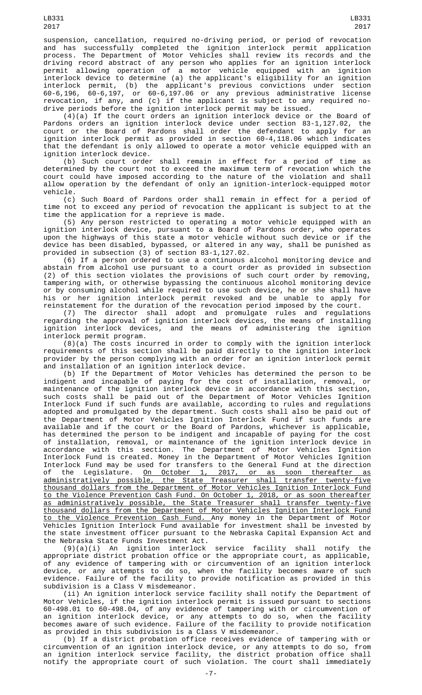suspension, cancellation, required no-driving period, or period of revocation and has successfully completed the ignition interlock permit application process. The Department of Motor Vehicles shall review its records and the driving record abstract of any person who applies for an ignition interlock permit allowing operation of a motor vehicle equipped with an ignition interlock device to determine (a) the applicant's eligibility for an ignition interlock permit, (b) the applicant's previous convictions under section 60-6,196, 60-6,197, or 60-6,197.06 or any previous administrative license revocation, if any, and (c) if the applicant is subject to any required nodrive periods before the ignition interlock permit may be issued.

(4)(a) If the court orders an ignition interlock device or the Board of Pardons orders an ignition interlock device under section 83-1,127.02, the court or the Board of Pardons shall order the defendant to apply for an ignition interlock permit as provided in section 60-4,118.06 which indicates that the defendant is only allowed to operate a motor vehicle equipped with an ignition interlock device.

(b) Such court order shall remain in effect for a period of time as determined by the court not to exceed the maximum term of revocation which the court could have imposed according to the nature of the violation and shall allow operation by the defendant of only an ignition-interlock-equipped motor vehicle.

(c) Such Board of Pardons order shall remain in effect for a period of time not to exceed any period of revocation the applicant is subject to at the time the application for a reprieve is made.

(5) Any person restricted to operating a motor vehicle equipped with an ignition interlock device, pursuant to a Board of Pardons order, who operates upon the highways of this state a motor vehicle without such device or if the device has been disabled, bypassed, or altered in any way, shall be punished as provided in subsection (3) of section 83-1,127.02.

(6) If a person ordered to use a continuous alcohol monitoring device and abstain from alcohol use pursuant to a court order as provided in subsection (2) of this section violates the provisions of such court order by removing, tampering with, or otherwise bypassing the continuous alcohol monitoring device or by consuming alcohol while required to use such device, he or she shall have his or her ignition interlock permit revoked and be unable to apply for reinstatement for the duration of the revocation period imposed by the court.

(7) The director shall adopt and promulgate rules and regulations regarding the approval of ignition interlock devices, the means of installing ignition interlock devices, and the means of administering the ignition interlock permit program.

(8)(a) The costs incurred in order to comply with the ignition interlock requirements of this section shall be paid directly to the ignition interlock provider by the person complying with an order for an ignition interlock permit and installation of an ignition interlock device.

(b) If the Department of Motor Vehicles has determined the person to be indigent and incapable of paying for the cost of installation, removal, or maintenance of the ignition interlock device in accordance with this section, such costs shall be paid out of the Department of Motor Vehicles Ignition such costs shall be paid out of the Department of Motor Vehicles Ignition Interlock Fund if such funds are available, according to rules and regulations adopted and promulgated by the department. Such costs shall also be paid out of the Department of Motor Vehicles Ignition Interlock Fund if such funds are available and if the court or the Board of Pardons, whichever is applicable, has determined the person to be indigent and incapable of paying for the cost of installation, removal, or maintenance of the ignition interlock device in accordance with this section. The Department of Motor Vehicles Ignition Interlock Fund is created. Money in the Department of Motor Vehicles Ignition Interlock Fund may be used for transfers to the General Fund at the direction<br>of the Legislature. On October 1, 2017, or as soon thereafter as of the Legislature. <u>On October 1, 2017, or as soon thereafter as</u> administratively possible, the State Treasurer shall transfer twenty-five thousand dollars from the Department of Motor Vehicles Ignition Interlock Fund to the Violence Prevention Cash Fund. On October 1, 2018, or as soon thereafter as administratively possible, the State Treasurer shall transfer twenty-five thousand dollars from the Department of Motor Vehicles Ignition Interlock Fund to the Violence Prevention Cash Fund. Any money in the Department of Motor Vehicles Ignition Interlock Fund available for investment shall be invested by the state investment officer pursuant to the Nebraska Capital Expansion Act and the Nebraska State Funds Investment Act.

(9)(a)(i) An ignition interlock service facility shall notify the appropriate district probation office or the appropriate court, as applicable, of any evidence of tampering with or circumvention of an ignition interlock device, or any attempts to do so, when the facility becomes aware of such evidence. Failure of the facility to provide notification as provided in this subdivision is a Class V misdemeanor.

(ii) An ignition interlock service facility shall notify the Department of Motor Vehicles, if the ignition interlock permit is issued pursuant to sections 60-498.01 to 60-498.04, of any evidence of tampering with or circumvention of an ignition interlock device, or any attempts to do so, when the facility becomes aware of such evidence. Failure of the facility to provide notification as provided in this subdivision is a Class V misdemeanor.

(b) If a district probation office receives evidence of tampering with or circumvention of an ignition interlock device, or any attempts to do so, from an ignition interlock service facility, the district probation office shall notify the appropriate court of such violation. The court shall immediately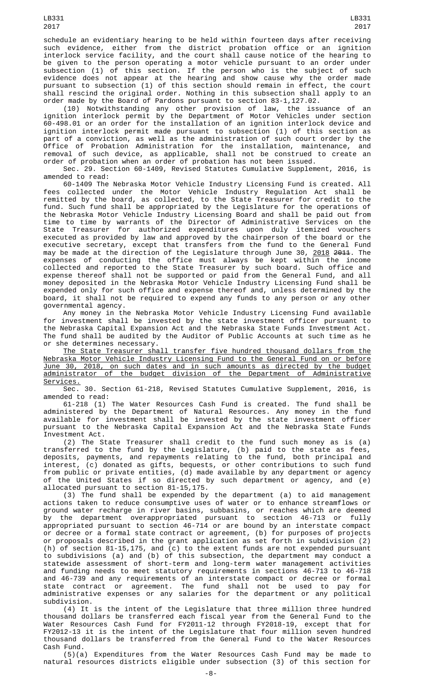schedule an evidentiary hearing to be held within fourteen days after receiving such evidence, either from the district probation office or an ignition interlock service facility, and the court shall cause notice of the hearing to be given to the person operating a motor vehicle pursuant to an order under subsection (1) of this section. If the person who is the subject of such evidence does not appear at the hearing and show cause why the order made pursuant to subsection (1) of this section should remain in effect, the court shall rescind the original order. Nothing in this subsection shall apply to an order made by the Board of Pardons pursuant to section 83-1,127.02.

(10) Notwithstanding any other provision of law, the issuance of an ignition interlock permit by the Department of Motor Vehicles under section 60-498.01 or an order for the installation of an ignition interlock device and ignition interlock permit made pursuant to subsection (1) of this section as part of a conviction, as well as the administration of such court order by the Office of Probation Administration for the installation, maintenance, and removal of such device, as applicable, shall not be construed to create an order of probation when an order of probation has not been issued.

Sec. 29. Section 60-1409, Revised Statutes Cumulative Supplement, 2016, is amended to read:

60-1409 The Nebraska Motor Vehicle Industry Licensing Fund is created. All fees collected under the Motor Vehicle Industry Regulation Act shall be remitted by the board, as collected, to the State Treasurer for credit to the fund. Such fund shall be appropriated by the Legislature for the operations of the Nebraska Motor Vehicle Industry Licensing Board and shall be paid out from time to time by warrants of the Director of Administrative Services on the State Treasurer for authorized expenditures upon duly itemized vouchers executed as provided by law and approved by the chairperson of the board or the executive secretary, except that transfers from the fund to the General Fund may be made at the direction of the Legislature through June 30, 2018 2011. The expenses of conducting the office must always be kept within the income collected and reported to the State Treasurer by such board. Such office and expense thereof shall not be supported or paid from the General Fund, and all money deposited in the Nebraska Motor Vehicle Industry Licensing Fund shall be expended only for such office and expense thereof and, unless determined by the board, it shall not be required to expend any funds to any person or any other governmental agency.

Any money in the Nebraska Motor Vehicle Industry Licensing Fund available for investment shall be invested by the state investment officer pursuant to the Nebraska Capital Expansion Act and the Nebraska State Funds Investment Act. The fund shall be audited by the Auditor of Public Accounts at such time as he or she determines necessary.

The State Treasurer shall transfer five hundred thousand dollars from the Nebraska Motor Vehicle Industry Licensing Fund to the General Fund on or before June 30, 2018, on such dates and in such amounts as directed by the budget administrator of the budget division of the Department of Administrative Services.

Sec. 30. Section 61-218, Revised Statutes Cumulative Supplement, 2016, is amended to read:

61-218 (1) The Water Resources Cash Fund is created. The fund shall be administered by the Department of Natural Resources. Any money in the fund available for investment shall be invested by the state investment officer pursuant to the Nebraska Capital Expansion Act and the Nebraska State Funds Investment Act.

(2) The State Treasurer shall credit to the fund such money as is (a) transferred to the fund by the Legislature, (b) paid to the state as fees, deposits, payments, and repayments relating to the fund, both principal and interest, (c) donated as gifts, bequests, or other contributions to such fund from public or private entities, (d) made available by any department or agency of the United States if so directed by such department or agency, and (e) allocated pursuant to section 81-15,175.

(3) The fund shall be expended by the department (a) to aid management actions taken to reduce consumptive uses of water or to enhance streamflows or ground water recharge in river basins, subbasins, or reaches which are deemed by the department overappropriated pursuant to section 46-713 or fully appropriated pursuant to section 46-714 or are bound by an interstate compact or decree or a formal state contract or agreement, (b) for purposes of projects or proposals described in the grant application as set forth in subdivision (2) (h) of section 81-15,175, and (c) to the extent funds are not expended pursuant to subdivisions (a) and (b) of this subsection, the department may conduct a statewide assessment of short-term and long-term water management activities and funding needs to meet statutory requirements in sections 46-713 to 46-718 and 46-739 and any requirements of an interstate compact or decree or formal state contract or agreement. The fund shall not be used to pay for administrative expenses or any salaries for the department or any political subdivision.

(4) It is the intent of the Legislature that three million three hundred thousand dollars be transferred each fiscal year from the General Fund to the Water Resources Cash Fund for FY2011-12 through FY2018-19, except that for FY2012-13 it is the intent of the Legislature that four million seven hundred thousand dollars be transferred from the General Fund to the Water Resources Cash Fund.

(5)(a) Expenditures from the Water Resources Cash Fund may be made to natural resources districts eligible under subsection (3) of this section for

LB331 2017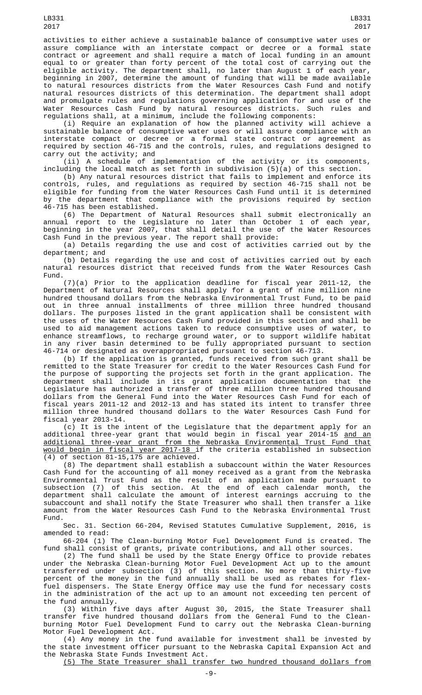activities to either achieve a sustainable balance of consumptive water uses or assure compliance with an interstate compact or decree or a formal state contract or agreement and shall require a match of local funding in an amount equal to or greater than forty percent of the total cost of carrying out the eligible activity. The department shall, no later than August 1 of each year, beginning in 2007, determine the amount of funding that will be made available to natural resources districts from the Water Resources Cash Fund and notify natural resources districts of this determination. The department shall adopt and promulgate rules and regulations governing application for and use of the Water Resources Cash Fund by natural resources districts. Such rules and regulations shall, at a minimum, include the following components:

(i) Require an explanation of how the planned activity will achieve a sustainable balance of consumptive water uses or will assure compliance with an interstate compact or decree or a formal state contract or agreement as required by section 46-715 and the controls, rules, and regulations designed to carry out the activity; and

(ii) A schedule of implementation of the activity or its components, including the local match as set forth in subdivision (5)(a) of this section.

(b) Any natural resources district that fails to implement and enforce its controls, rules, and regulations as required by section 46-715 shall not be eligible for funding from the Water Resources Cash Fund until it is determined by the department that compliance with the provisions required by section 46-715 has been established.

(6) The Department of Natural Resources shall submit electronically an annual report to the Legislature no later than October 1 of each year, beginning in the year 2007, that shall detail the use of the Water Resources Cash Fund in the previous year. The report shall provide:

(a) Details regarding the use and cost of activities carried out by the department; and

(b) Details regarding the use and cost of activities carried out by each natural resources district that received funds from the Water Resources Cash Fund.

(7)(a) Prior to the application deadline for fiscal year 2011-12, the Department of Natural Resources shall apply for a grant of nine million nine hundred thousand dollars from the Nebraska Environmental Trust Fund, to be paid out in three annual installments of three million three hundred thousand dollars. The purposes listed in the grant application shall be consistent with the uses of the Water Resources Cash Fund provided in this section and shall be used to aid management actions taken to reduce consumptive uses of water, to enhance streamflows, to recharge ground water, or to support wildlife habitat in any river basin determined to be fully appropriated pursuant to section 46-714 or designated as overappropriated pursuant to section 46-713.

(b) If the application is granted, funds received from such grant shall be remitted to the State Treasurer for credit to the Water Resources Cash Fund for the purpose of supporting the projects set forth in the grant application. The department shall include in its grant application documentation that the Legislature has authorized a transfer of three million three hundred thousand dollars from the General Fund into the Water Resources Cash Fund for each of fiscal years 2011-12 and 2012-13 and has stated its intent to transfer three million three hundred thousand dollars to the Water Resources Cash Fund for fiscal year 2013-14.

(c) It is the intent of the Legislature that the department apply for an additional three-year grant that would begin in fiscal year 2014-15 <u>and an</u> additional three-year grant from the Nebraska Environmental Trust Fund that would begin in fiscal year 2017-18 if the criteria established in subsection (4) of section 81-15,175 are achieved.

(8) The department shall establish a subaccount within the Water Resources Cash Fund for the accounting of all money received as a grant from the Nebraska Environmental Trust Fund as the result of an application made pursuant to subsection (7) of this section. At the end of each calendar month, the department shall calculate the amount of interest earnings accruing to the subaccount and shall notify the State Treasurer who shall then transfer a like amount from the Water Resources Cash Fund to the Nebraska Environmental Trust Fund.

Sec. 31. Section 66-204, Revised Statutes Cumulative Supplement, 2016, is amended to read:

66-204 (1) The Clean-burning Motor Fuel Development Fund is created. The fund shall consist of grants, private contributions, and all other sources.

(2) The fund shall be used by the State Energy Office to provide rebates under the Nebraska Clean-burning Motor Fuel Development Act up to the amount transferred under subsection (3) of this section. No more than thirty-five percent of the money in the fund annually shall be used as rebates for flexfuel dispensers. The State Energy Office may use the fund for necessary costs in the administration of the act up to an amount not exceeding ten percent of the fund annually.

(3) Within five days after August 30, 2015, the State Treasurer shall transfer five hundred thousand dollars from the General Fund to the Cleanburning Motor Fuel Development Fund to carry out the Nebraska Clean-burning Motor Fuel Development Act.

(4) Any money in the fund available for investment shall be invested by the state investment officer pursuant to the Nebraska Capital Expansion Act and the Nebraska State Funds Investment Act.

(5) The State Treasurer shall transfer two hundred thousand dollars from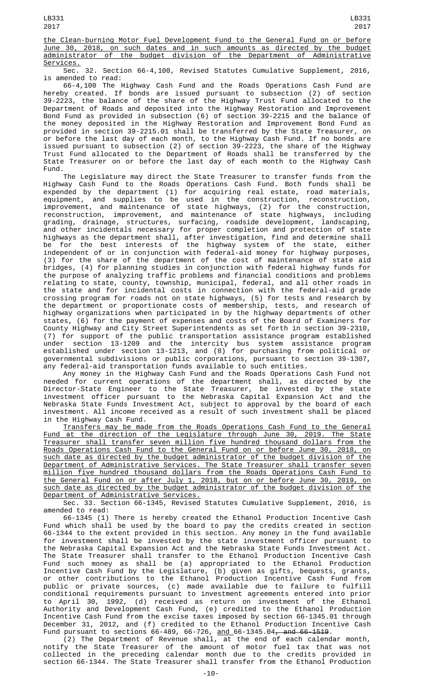the Clean-burning Motor Fuel Development Fund to the General Fund on or before June 30, 2018, on such dates and in such amounts as directed by the budget administrator of the budget division of the Department of Administrative Services.

Sec. 32. Section 66-4,100, Revised Statutes Cumulative Supplement, 2016, is amended to read:

66-4,100 The Highway Cash Fund and the Roads Operations Cash Fund are hereby created. If bonds are issued pursuant to subsection (2) of section 39-2223, the balance of the share of the Highway Trust Fund allocated to the Department of Roads and deposited into the Highway Restoration and Improvement Bond Fund as provided in subsection (6) of section 39-2215 and the balance of the money deposited in the Highway Restoration and Improvement Bond Fund as provided in section 39-2215.01 shall be transferred by the State Treasurer, on or before the last day of each month, to the Highway Cash Fund. If no bonds are issued pursuant to subsection (2) of section 39-2223, the share of the Highway Trust Fund allocated to the Department of Roads shall be transferred by the State Treasurer on or before the last day of each month to the Highway Cash Fund.

The Legislature may direct the State Treasurer to transfer funds from the Highway Cash Fund to the Roads Operations Cash Fund. Both funds shall be expended by the department (1) for acquiring real estate, road materials, equipment, and supplies to be used in the construction, reconstruction, improvement, and maintenance of state highways, (2) for the construction, reconstruction, improvement, and maintenance of state highways, including grading, drainage, structures, surfacing, roadside development, landscaping, and other incidentals necessary for proper completion and protection of state highways as the department shall, after investigation, find and determine shall be for the best interests of the highway system of the state, either independent of or in conjunction with federal-aid money for highway purposes, (3) for the share of the department of the cost of maintenance of state aid bridges, (4) for planning studies in conjunction with federal highway funds for the purpose of analyzing traffic problems and financial conditions and problems relating to state, county, township, municipal, federal, and all other roads in the state and for incidental costs in connection with the federal-aid grade crossing program for roads not on state highways, (5) for tests and research by the department or proportionate costs of membership, tests, and research of highway organizations when participated in by the highway departments of other states, (6) for the payment of expenses and costs of the Board of Examiners for County Highway and City Street Superintendents as set forth in section 39-2310, (7) for support of the public transportation assistance program established under section 13-1209 and the intercity bus system assistance program established under section 13-1213, and (8) for purchasing from political or governmental subdivisions or public corporations, pursuant to section 39-1307, any federal-aid transportation funds available to such entities.

Any money in the Highway Cash Fund and the Roads Operations Cash Fund not needed for current operations of the department shall, as directed by the Director-State Engineer to the State Treasurer, be invested by the state investment officer pursuant to the Nebraska Capital Expansion Act and the Nebraska State Funds Investment Act, subject to approval by the board of each investment. All income received as a result of such investment shall be placed in the Highway Cash Fund.

Transfers may be made from the Roads Operations Cash Fund to the General Fund at the direction of the Legislature through June 30, 2019. The State Treasurer shall transfer seven million five hundred thousand dollars from the Roads Operations Cash Fund to the General Fund on or before June 30, 2018, on such date as directed by the budget administrator of the budget division of the Department of Administrative Services. The State Treasurer shall transfer seven million five hundred thousand dollars from the Roads Operations Cash Fund to the General Fund on or after July 1, 2018, but on or before June 30, 2019, on such date as directed by the budget administrator of the budget division of the Department of Administrative Services.

Sec. 33. Section 66-1345, Revised Statutes Cumulative Supplement, 2016, is amended to read:

66-1345 (1) There is hereby created the Ethanol Production Incentive Cash Fund which shall be used by the board to pay the credits created in section 66-1344 to the extent provided in this section. Any money in the fund available for investment shall be invested by the state investment officer pursuant to the Nebraska Capital Expansion Act and the Nebraska State Funds Investment Act. The State Treasurer shall transfer to the Ethanol Production Incentive Cash Fund such money as shall be (a) appropriated to the Ethanol Production Incentive Cash Fund by the Legislature, (b) given as gifts, bequests, grants, or other contributions to the Ethanol Production Incentive Cash Fund from public or private sources, (c) made available due to failure to fulfill conditional requirements pursuant to investment agreements entered into prior to April 30, 1992, (d) received as return on investment of the Ethanol Authority and Development Cash Fund, (e) credited to the Ethanol Production Incentive Cash Fund from the excise taxes imposed by section 66-1345.01 through December 31, 2012, and (f) credited to the Ethanol Production Incentive Cash Fund pursuant to sections 66-489, 66-726, and 66-1345.04, and 66-1519.

(2) The Department of Revenue shall, at the end of each calendar month, notify the State Treasurer of the amount of motor fuel tax that was not collected in the preceding calendar month due to the credits provided in section 66-1344. The State Treasurer shall transfer from the Ethanol Production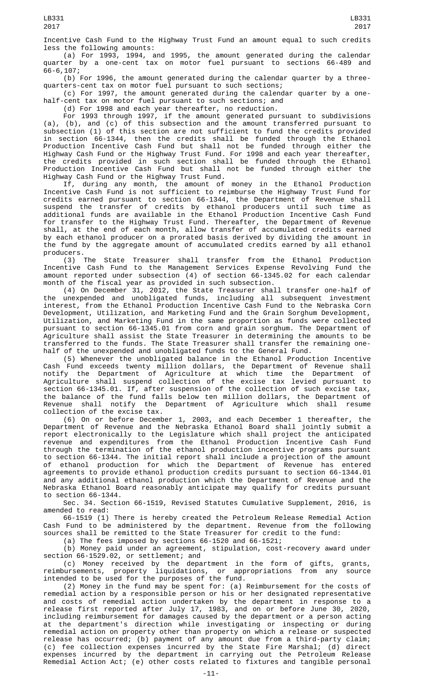Incentive Cash Fund to the Highway Trust Fund an amount equal to such credits less the following amounts:

(a) For 1993, 1994, and 1995, the amount generated during the calendar quarter by a one-cent tax on motor fuel pursuant to sections 66-489 and 66-6,107;

(b) For 1996, the amount generated during the calendar quarter by a threequarters-cent tax on motor fuel pursuant to such sections;

(c) For 1997, the amount generated during the calendar quarter by a onehalf-cent tax on motor fuel pursuant to such sections; and

(d) For 1998 and each year thereafter, no reduction.

For 1993 through 1997, if the amount generated pursuant to subdivisions (a), (b), and (c) of this subsection and the amount transferred pursuant to subsection (1) of this section are not sufficient to fund the credits provided in section 66-1344, then the credits shall be funded through the Ethanol Production Incentive Cash Fund but shall not be funded through either the Highway Cash Fund or the Highway Trust Fund. For 1998 and each year thereafter, the credits provided in such section shall be funded through the Ethanol Production Incentive Cash Fund but shall not be funded through either the Highway Cash Fund or the Highway Trust Fund.

If, during any month, the amount of money in the Ethanol Production Incentive Cash Fund is not sufficient to reimburse the Highway Trust Fund for credits earned pursuant to section 66-1344, the Department of Revenue shall suspend the transfer of credits by ethanol producers until such time as additional funds are available in the Ethanol Production Incentive Cash Fund for transfer to the Highway Trust Fund. Thereafter, the Department of Revenue shall, at the end of each month, allow transfer of accumulated credits earned by each ethanol producer on a prorated basis derived by dividing the amount in the fund by the aggregate amount of accumulated credits earned by all ethanol producers.

(3) The State Treasurer shall transfer from the Ethanol Production Incentive Cash Fund to the Management Services Expense Revolving Fund the amount reported under subsection (4) of section 66-1345.02 for each calendar month of the fiscal year as provided in such subsection.

(4) On December 31, 2012, the State Treasurer shall transfer one-half of the unexpended and unobligated funds, including all subsequent investment interest, from the Ethanol Production Incentive Cash Fund to the Nebraska Corn Development, Utilization, and Marketing Fund and the Grain Sorghum Development, Utilization, and Marketing Fund in the same proportion as funds were collected pursuant to section 66-1345.01 from corn and grain sorghum. The Department of Agriculture shall assist the State Treasurer in determining the amounts to be transferred to the funds. The State Treasurer shall transfer the remaining onehalf of the unexpended and unobligated funds to the General Fund.

(5) Whenever the unobligated balance in the Ethanol Production Incentive Cash Fund exceeds twenty million dollars, the Department of Revenue shall notify the Department of Agriculture at which time the Department of Agriculture shall suspend collection of the excise tax levied pursuant to section 66-1345.01. If, after suspension of the collection of such excise tax, the balance of the fund falls below ten million dollars, the Department of Revenue shall notify the Department of Agriculture which shall resume collection of the excise tax.

(6) On or before December 1, 2003, and each December 1 thereafter, the Department of Revenue and the Nebraska Ethanol Board shall jointly submit a report electronically to the Legislature which shall project the anticipated revenue and expenditures from the Ethanol Production Incentive Cash Fund through the termination of the ethanol production incentive programs pursuant to section 66-1344. The initial report shall include a projection of the amount of ethanol production for which the Department of Revenue has entered agreements to provide ethanol production credits pursuant to section 66-1344.01 and any additional ethanol production which the Department of Revenue and the Nebraska Ethanol Board reasonably anticipate may qualify for credits pursuant to section 66-1344.

Sec. 34. Section 66-1519, Revised Statutes Cumulative Supplement, 2016, is amended to read:

66-1519 (1) There is hereby created the Petroleum Release Remedial Action Cash Fund to be administered by the department. Revenue from the following sources shall be remitted to the State Treasurer for credit to the fund:

(a) The fees imposed by sections 66-1520 and 66-1521;

(b) Money paid under an agreement, stipulation, cost-recovery award under section 66-1529.02, or settlement; and

(c) Money received by the department in the form of gifts, grants, reimbursements, property liquidations, or appropriations from any source intended to be used for the purposes of the fund.

(2) Money in the fund may be spent for: (a) Reimbursement for the costs of remedial action by a responsible person or his or her designated representative and costs of remedial action undertaken by the department in response to a release first reported after July 17, 1983, and on or before June 30, 2020, including reimbursement for damages caused by the department or a person acting at the department's direction while investigating or inspecting or during remedial action on property other than property on which a release or suspected release has occurred; (b) payment of any amount due from a third-party claim; (c) fee collection expenses incurred by the State Fire Marshal; (d) direct expenses incurred by the department in carrying out the Petroleum Release Remedial Action Act; (e) other costs related to fixtures and tangible personal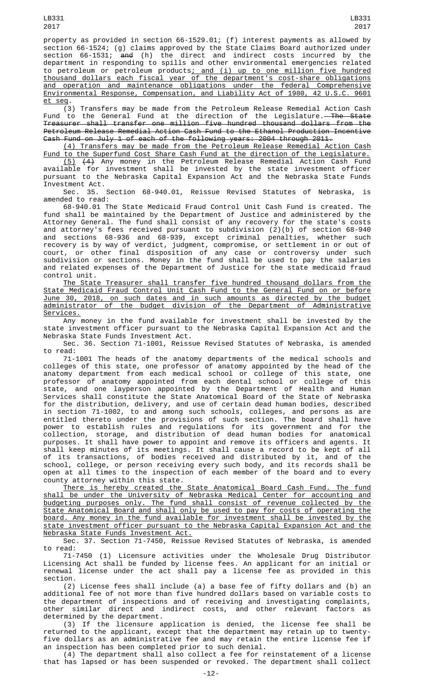LB331

property as provided in section 66-1529.01; (f) interest payments as allowed by section 66-1524; (g) claims approved by the State Claims Board authorized under section 66-1531; and (h) the direct and indirect costs incurred by the department in responding to spills and other environmental emergencies related to petroleum or petroleum products<u>; and (i) up to one million five hundred</u> thousand dollars each fiscal year of the department's cost-share obligations and operation and maintenance obligations under the federal Comprehensive Environmental Response, Compensation, and Liability Act of 1980, 42 U.S.C. 9601 et seq.

(3) Transfers may be made from the Petroleum Release Remedial Action Cash Fund to the General Fund at the direction of the Legislature.<del>—The State</del> Treasurer shall transfer one million five hundred thousand dollars from the Petroleum Release Remedial Action Cash Fund to the Ethanol Production Incentive Cash Fund on July 1 of each of the following years: 2004 through 2011.

(4) Transfers may be made from the Petroleum Release Remedial Action Cash Fund to the Superfund Cost Share Cash Fund at the direction of the Legislature. (5) (4) Any money in the Petroleum Release Remedial Action Cash Fund available for investment shall be invested by the state investment officer pursuant to the Nebraska Capital Expansion Act and the Nebraska State Funds

Investment Act. Sec. 35. Section 68-940.01, Reissue Revised Statutes of Nebraska, is amended to read:

68-940.01 The State Medicaid Fraud Control Unit Cash Fund is created. The fund shall be maintained by the Department of Justice and administered by the Attorney General. The fund shall consist of any recovery for the state's costs and attorney's fees received pursuant to subdivision (2)(b) of section 68-940 and sections 68-936 and 68-939, except criminal penalties, whether such recovery is by way of verdict, judgment, compromise, or settlement in or out of court, or other final disposition of any case or controversy under such subdivision or sections. Money in the fund shall be used to pay the salaries and related expenses of the Department of Justice for the state medicaid fraud control unit.

The State Treasurer shall transfer five hundred thousand dollars from the State Medicaid Fraud Control Unit Cash Fund to the General Fund on or before June 30, 2018, on such dates and in such amounts as directed by the budget administrator of the budget division of the Department of Administrative Services.

Any money in the fund available for investment shall be invested by the state investment officer pursuant to the Nebraska Capital Expansion Act and the Nebraska State Funds Investment Act.

Sec. 36. Section 71-1001, Reissue Revised Statutes of Nebraska, is amended to read:

71-1001 The heads of the anatomy departments of the medical schools and colleges of this state, one professor of anatomy appointed by the head of the anatomy department from each medical school or college of this state, one professor of anatomy appointed from each dental school or college of this state, and one layperson appointed by the Department of Health and Human Services shall constitute the State Anatomical Board of the State of Nebraska for the distribution, delivery, and use of certain dead human bodies, described in section 71-1002, to and among such schools, colleges, and persons as are entitled thereto under the provisions of such section. The board shall have power to establish rules and regulations for its government and for the collection, storage, and distribution of dead human bodies for anatomical purposes. It shall have power to appoint and remove its officers and agents. It shall keep minutes of its meetings. It shall cause a record to be kept of all of its transactions, of bodies received and distributed by it, and of the school, college, or person receiving every such body, and its records shall be open at all times to the inspection of each member of the board and to every county attorney within this state.

There is hereby created the State Anatomical Board Cash Fund. The fund shall be under the University of Nebraska Medical Center for accounting and budgeting purposes only. The fund shall consist of revenue collected by the State Anatomical Board and shall only be used to pay for costs of operating the board. Any money in the fund available for investment shall be invested by the state investment officer pursuant to the Nebraska Capital Expansion Act and the Nebraska State Funds Investment Act.

Sec. 37. Section 71-7450, Reissue Revised Statutes of Nebraska, is amended to read:

71-7450 (1) Licensure activities under the Wholesale Drug Distributor Licensing Act shall be funded by license fees. An applicant for an initial or renewal license under the act shall pay a license fee as provided in this section.

(2) License fees shall include (a) a base fee of fifty dollars and (b) an additional fee of not more than five hundred dollars based on variable costs to the department of inspections and of receiving and investigating complaints, other similar direct and indirect costs, and other relevant factors determined by the department.

(3) If the licensure application is denied, the license fee shall be returned to the applicant, except that the department may retain up to twentyfive dollars as an administrative fee and may retain the entire license fee if an inspection has been completed prior to such denial.

(4) The department shall also collect a fee for reinstatement of a license that has lapsed or has been suspended or revoked. The department shall collect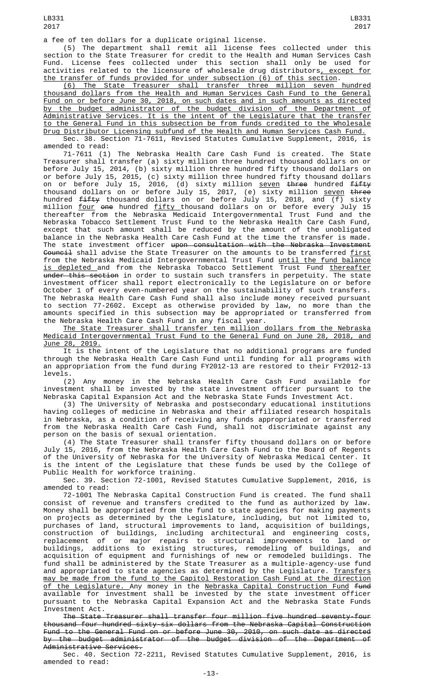a fee of ten dollars for a duplicate original license.

(5) The department shall remit all license fees collected under this section to the State Treasurer for credit to the Health and Human Services Cash Fund. License fees collected under this section shall only be used for activities related to the licensure of wholesale drug distributors, except for the transfer of funds provided for under subsection (6) of this section.

(6) The State Treasurer shall transfer three million seven hundred thousand dollars from the Health and Human Services Cash Fund to the General Fund on or before June 30, 2018, on such dates and in such amounts as directed by the budget administrator of the budget division of the Department of Administrative Services. It is the intent of the Legislature that the transfer to the General Fund in this subsection be from funds credited to the Wholesale Drug Distributor Licensing subfund of the Health and Human Services Cash Fund.

Sec. 38. Section 71-7611, Revised Statutes Cumulative Supplement, 2016, amended to read:

71-7611 (1) The Nebraska Health Care Cash Fund is created. The State Treasurer shall transfer (a) sixty million three hundred thousand dollars on or before July 15, 2014, (b) sixty million three hundred fifty thousand dollars on or before July 15, 2015, (c) sixty million three hundred fifty thousand dollars on or before July 15, 2016, (d) sixty million <u>seven</u> <del>three</del> hundred <del>fifty</del> thousand dollars on or before July 15, 2017, (e) sixty million <u>seven</u> <del>three</del> hundred <del>fifty</del> thousand dollars on or before July 15, 2018, and (f) sixty million <u>four</u> <del>one</del> hundred <u>fifty t</u>housand dollars on or before every July 15 thereafter from the Nebraska Medicaid Intergovernmental Trust Fund and the Nebraska Tobacco Settlement Trust Fund to the Nebraska Health Care Cash Fund, except that such amount shall be reduced by the amount of the unobligated balance in the Nebraska Health Care Cash Fund at the time the transfer is made. The state investment officer <del>upon consultation with the Nebraska Investment</del> <del>Council</del> shall advise the State Treasurer on the amounts to be transferred <u>first</u> from the Nebraska Medicaid Intergovernmental Trust Fund <u>until the fund balance</u> <u>is depleted </u>and from the Nebraska Tobacco Settlement Trust Fund <u>thereafter</u> <del>under this section</del> in order to sustain such transfers in perpetuity. The state investment officer shall report electronically to the Legislature on or before October 1 of every even-numbered year on the sustainability of such transfers. The Nebraska Health Care Cash Fund shall also include money received pursuant to section 77-2602. Except as otherwise provided by law, no more than the amounts specified in this subsection may be appropriated or transferred from the Nebraska Health Care Cash Fund in any fiscal year.

The State Treasurer shall transfer ten million dollars from the Nebraska Medicaid Intergovernmental Trust Fund to the General Fund on June 28, 2018, and June 28, 2019.

<u>Experiting</u> through the Nebraska Health Care Cash Fund until funding for all programs with an appropriation from the fund during FY2012-13 are restored to their FY2012-13 levels.

(2) Any money in the Nebraska Health Care Cash Fund available for investment shall be invested by the state investment officer pursuant to the Nebraska Capital Expansion Act and the Nebraska State Funds Investment Act.

(3) The University of Nebraska and postsecondary educational institutions having colleges of medicine in Nebraska and their affiliated research hospitals in Nebraska, as a condition of receiving any funds appropriated or transferred from the Nebraska Health Care Cash Fund, shall not discriminate against any person on the basis of sexual orientation.

(4) The State Treasurer shall transfer fifty thousand dollars on or before July 15, 2016, from the Nebraska Health Care Cash Fund to the Board of Regents of the University of Nebraska for the University of Nebraska Medical Center. It is the intent of the Legislature that these funds be used by the College of Public Health for workforce training.

Sec. 39. Section 72-1001, Revised Statutes Cumulative Supplement, 2016, is amended to read:

72-1001 The Nebraska Capital Construction Fund is created. The fund shall consist of revenue and transfers credited to the fund as authorized by law. consist of revenue and transfers credited to the fund as authorized by law. Money shall be appropriated from the fund to state agencies for making payments on projects as determined by the Legislature, including, but not limited to, purchases of land, structural improvements to land, acquisition of buildings, construction of buildings, including architectural and engineering costs, replacement of or major repairs to structural improvements to land or buildings, additions to existing structures, remodeling of buildings, and acquisition of equipment and furnishings of new or remodeled buildings. The fund shall be administered by the State Treasurer as a multiple-agency-use fund and appropriated to state agencies as determined by the Legislature. <u>Transfers</u> may be made from the fund to the Capitol Restoration Cash Fund at the direction <u>of the Legislature. A</u>ny money in the <u>Nebraska Capital Construction Fund</u> <del>fund</del> available for investment shall be invested by the state investment officer pursuant to the Nebraska Capital Expansion Act and the Nebraska State Funds Investment Act.

The State Treasurer shall transfer four million five hundred seventy-four thousand four hundred sixty-six dollars from the Nebraska Capital Construction Fund to the General Fund on or before June 30, 2010, on such date as directed by the budget administrator of the budget division of the Department of Administrative Services.

Sec. 40. Section 72-2211, Revised Statutes Cumulative Supplement, 2016, is amended to read: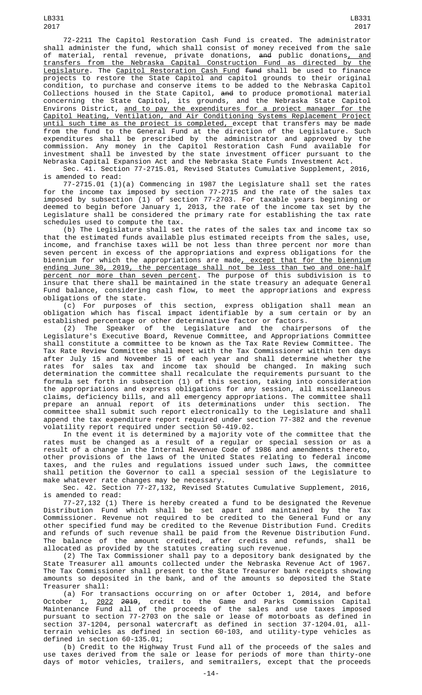LB331 2017

72-2211 The Capitol Restoration Cash Fund is created. The administrator shall administer the fund, which shall consist of money received from the sale of material, rental revenue, private donations, <del>and</del> public donations<u>, and</u> transfers from the Nebraska Capital Construction Fund as directed by the <u>Legislature</u>. The <u>Capitol Restoration Cash Fund</u> f<del>und</del> shall be used to finance projects to restore the State Capitol and capitol grounds to their original condition, to purchase and conserve items to be added to the Nebraska Capitol Collections housed in the State Capitol, <del>and</del> to produce promotional material concerning the State Capitol, its grounds, and the Nebraska State Capitol Environs District, <u>and to pay the expenditures for a project manager for the</u> Capitol Heating, Ventilation, and Air Conditioning Systems Replacement Project <u>until such time as the project is completed, e</u>xcept that transfers may be made from the fund to the General Fund at the direction of the Legislature. Such expenditures shall be prescribed by the administrator and approved by the commission. Any money in the Capitol Restoration Cash Fund available for investment shall be invested by the state investment officer pursuant to the Nebraska Capital Expansion Act and the Nebraska State Funds Investment Act.

Sec. 41. Section 77-2715.01, Revised Statutes Cumulative Supplement, 2016, is amended to read:

77-2715.01 (1)(a) Commencing in 1987 the Legislature shall set the rates for the income tax imposed by section 77-2715 and the rate of the sales tax imposed by subsection (1) of section 77-2703. For taxable years beginning or deemed to begin before January 1, 2013, the rate of the income tax set by the Legislature shall be considered the primary rate for establishing the tax rate schedules used to compute the tax.

(b) The Legislature shall set the rates of the sales tax and income tax so that the estimated funds available plus estimated receipts from the sales, use, income, and franchise taxes will be not less than three percent nor more than seven percent in excess of the appropriations and express obligations for the biennium for which the appropriations are made<u>, except that for the biennium</u> ending June 30, 2019, the percentage shall not be less than two and one-half percent nor more than seven percent. The purpose of this subdivision is to insure that there shall be maintained in the state treasury an adequate General Fund balance, considering cash flow, to meet the appropriations and express obligations of the state.<br>(c) For purposes of

this section, express obligation shall mean an obligation which has fiscal impact identifiable by a sum certain or by an established percentage or other determinative factor or factors.

(2) The Speaker of the Legislature and the chairpersons of the Legislature's Executive Board, Revenue Committee, and Appropriations Committee shall constitute a committee to be known as the Tax Rate Review Committee. The Tax Rate Review Committee shall meet with the Tax Commissioner within ten days after July 15 and November 15 of each year and shall determine whether the rates for sales tax and income tax should be changed. In making such determination the committee shall recalculate the requirements pursuant to the formula set forth in subsection (1) of this section, taking into consideration the appropriations and express obligations for any session, all miscellaneous claims, deficiency bills, and all emergency appropriations. The committee shall prepare an annual report of its determinations under this section. The committee shall submit such report electronically to the Legislature and shall append the tax expenditure report required under section 77-382 and the revenue volatility report required under section 50-419.02.

In the event it is determined by a majority vote of the committee that the rates must be changed as a result of a regular or special session or as a result of a change in the Internal Revenue Code of 1986 and amendments thereto, other provisions of the laws of the United States relating to federal income taxes, and the rules and regulations issued under such laws, the committee shall petition the Governor to call a special session of the Legislature to make whatever rate changes may be necessary.

Sec. 42. Section 77-27,132, Revised Statutes Cumulative Supplement, 2016, is amended to read:

77-27,132 (1) There is hereby created a fund to be designated the Revenue Distribution Fund which shall be set apart and maintained by the Tax Commissioner. Revenue not required to be credited to the General Fund or any other specified fund may be credited to the Revenue Distribution Fund. Credits and refunds of such revenue shall be paid from the Revenue Distribution Fund. The balance of the amount credited, after credits and refunds, shall be allocated as provided by the statutes creating such revenue.

(2) The Tax Commissioner shall pay to a depository bank designated by the State Treasurer all amounts collected under the Nebraska Revenue Act of 1967. The Tax Commissioner shall present to the State Treasurer bank receipts showing amounts so deposited in the bank, and of the amounts so deposited the State Treasurer shall:

(a) For transactions occurring on or after October 1, 2014, and before October 1, <u>2022</u> <del>2019</del>, credit to the Game and Parks Commission Capital Maintenance Fund all of the proceeds of the sales and use taxes imposed pursuant to section 77-2703 on the sale or lease of motorboats as defined in section 37-1204, personal watercraft as defined in section 37-1204.01, allterrain vehicles as defined in section 60-103, and utility-type vehicles as defined in section 60-135.01;

(b) Credit to the Highway Trust Fund all of the proceeds of the sales and use taxes derived from the sale or lease for periods of more than thirty-one days of motor vehicles, trailers, and semitrailers, except that the proceeds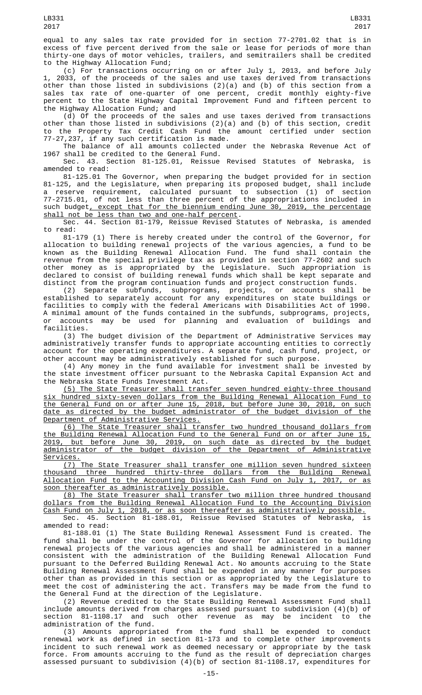equal to any sales tax rate provided for in section 77-2701.02 that is in excess of five percent derived from the sale or lease for periods of more than thirty-one days of motor vehicles, trailers, and semitrailers shall be credited to the Highway Allocation Fund;

(c) For transactions occurring on or after July 1, 2013, and before July 1, 2033, of the proceeds of the sales and use taxes derived from transactions other than those listed in subdivisions (2)(a) and (b) of this section from a sales tax rate of one-quarter of one percent, credit monthly eighty-five percent to the State Highway Capital Improvement Fund and fifteen percent to the Highway Allocation Fund; and

(d) Of the proceeds of the sales and use taxes derived from transactions other than those listed in subdivisions (2)(a) and (b) of this section, credit to the Property Tax Credit Cash Fund the amount certified under section 77-27,237, if any such certification is made.

The balance of all amounts collected under the Nebraska Revenue Act of 1967 shall be credited to the General Fund.

Sec. 43. Section 81-125.01, Reissue Revised Statutes of Nebraska, is amended to read:

81-125.01 The Governor, when preparing the budget provided for in section 81-125, and the Legislature, when preparing its proposed budget, shall include a reserve requirement, calculated pursuant to subsection (1) of section 77-2715.01, of not less than three percent of the appropriations included in such budget, except that for the biennium ending June 30, 2019, the percentage shall not be less than two and one-half percent.

Sec. 44. Section 81-179, Reissue Revised Statutes of Nebraska, is amended to read:

81-179 (1) There is hereby created under the control of the Governor, for allocation to building renewal projects of the various agencies, a fund to be known as the Building Renewal Allocation Fund. The fund shall contain the revenue from the special privilege tax as provided in section 77-2602 and such other money as is appropriated by the Legislature. Such appropriation is declared to consist of building renewal funds which shall be kept separate and distinct from the program continuation funds and project construction funds.

(2) Separate subfunds, subprograms, projects, or accounts shall be established to separately account for any expenditures on state buildings or facilities to comply with the federal Americans with Disabilities Act of 1990. A minimal amount of the funds contained in the subfunds, subprograms, projects, or accounts may be used for planning and evaluation of buildings and facilities.

(3) The budget division of the Department of Administrative Services may administratively transfer funds to appropriate accounting entities to correctly account for the operating expenditures. A separate fund, cash fund, project, or other account may be administratively established for such purpose.

(4) Any money in the fund available for investment shall be invested by the state investment officer pursuant to the Nebraska Capital Expansion Act and the Nebraska State Funds Investment Act.

(5) The State Treasurer shall transfer seven hundred eighty-three thousand hundred sixty-seven dollars from the Building Renewal Allocation Fund to the General Fund on or after June 15, 2018, but before June 30, 2018, on such date as directed by the budget administrator of the budget division of the Department of Administrative Services.

(6) The State Treasurer shall transfer two hundred thousand dollars from the Building Renewal Allocation Fund to the General Fund on or after June 15, 2019, but before June 30, 2019, on such date as directed by the budget administrator of the budget division of the Department of Administrative <u>Services.</u>

(7) The State Treasurer shall transfer one million seven hundred sixteen thousand three hundred thirty-three dollars from the Building Renewal Allocation Fund to the Accounting Division Cash Fund on July 1, 2017, or as soon thereafter as administratively possible.

(8) The State Treasurer shall transfer two million three hundred thousand dollars from the Building Renewal Allocation Fund to the Accounting Division Cash Fund on July 1, 2018, or as soon thereafter as administratively possible. Sec. 45. Section 81-188.01, Reissue Revised Statutes of Nebraska, is

amended to read:

81-188.01 (1) The State Building Renewal Assessment Fund is created. The fund shall be under the control of the Governor for allocation to building renewal projects of the various agencies and shall be administered in a manner consistent with the administration of the Building Renewal Allocation Fund pursuant to the Deferred Building Renewal Act. No amounts accruing to the State Building Renewal Assessment Fund shall be expended in any manner for purposes other than as provided in this section or as appropriated by the Legislature to meet the cost of administering the act. Transfers may be made from the fund to the General Fund at the direction of the Legislature.

(2) Revenue credited to the State Building Renewal Assessment Fund shall include amounts derived from charges assessed pursuant to subdivision (4)(b) of section 81-1108.17 and such other revenue as may be incident to the administration of the fund.

(3) Amounts appropriated from the fund shall be expended to conduct renewal work as defined in section 81-173 and to complete other improvements incident to such renewal work as deemed necessary or appropriate by the task force. From amounts accruing to the fund as the result of depreciation charges assessed pursuant to subdivision (4)(b) of section 81-1108.17, expenditures for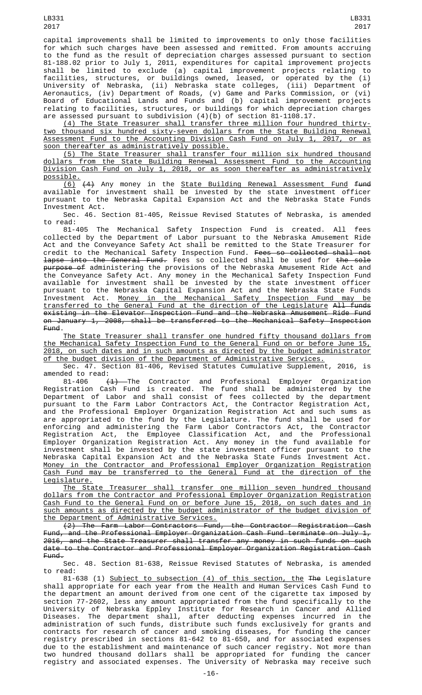capital improvements shall be limited to improvements to only those facilities for which such charges have been assessed and remitted. From amounts accruing to the fund as the result of depreciation charges assessed pursuant to section 81-188.02 prior to July 1, 2011, expenditures for capital improvement projects shall be limited to exclude (a) capital improvement projects relating to facilities, structures, or buildings owned, leased, or operated by the (i) University of Nebraska, (ii) Nebraska state colleges, (iii) Department of Aeronautics, (iv) Department of Roads, (v) Game and Parks Commission, or (vi) Board of Educational Lands and Funds and (b) capital improvement projects relating to facilities, structures, or buildings for which depreciation charges are assessed pursuant to subdivision (4)(b) of section 81-1108.17.

(4) The State Treasurer shall transfer three million four hundred thirtytwo thousand six hundred sixty-seven dollars from the State Building Renewal Assessment Fund to the Accounting Division Cash Fund on July 1, 2017, or as soon thereafter as administratively possible.

(5) The State Treasurer shall transfer four million six hundred thousand dollars from the State Building Renewal Assessment Fund to the Accounting Division Cash Fund on July 1, 2018, or as soon thereafter as administratively possible.

(6) (4) Any money in the State Building Renewal Assessment Fund fund available for investment shall be invested by the state investment officer pursuant to the Nebraska Capital Expansion Act and the Nebraska State Funds Investment Act.

Sec. 46. Section 81-405, Reissue Revised Statutes of Nebraska, is amended to read:

81-405 The Mechanical Safety Inspection Fund is created. All fees collected by the Department of Labor pursuant to the Nebraska Amusement Ride Act and the Conveyance Safety Act shall be remitted to the State Treasurer for credit to the Mechanical Safety Inspection Fund. <del>Fees so collected shall not</del> lapse into the General Fund. Fees so collected shall be used for the sole purpose of administering the provisions of the Nebraska Amusement Ride Act and the Conveyance Safety Act. Any money in the Mechanical Safety Inspection Fund available for investment shall be invested by the state investment officer pursuant to the Nebraska Capital Expansion Act and the Nebraska State Funds Investment Act. Money in the Mechanical Safety Inspection Fund may be transferred to the General Fund at the direction of the Legislature All funds existing in the Elevator Inspection Fund and the Nebraska Amusement Ride Fund on January 1, 2008, shall be transferred to the Mechanical Safety Inspection Fund.

The State Treasurer shall transfer one hundred fifty thousand dollars from the Mechanical Safety Inspection Fund to the General Fund on or before June 15, 2018, on such dates and in such amounts as directed by the budget administrator of the budget division of the Department of Administrative Services.

Sec. 47. Section 81-406, Revised Statutes Cumulative Supplement, 2016, is amended to read:<br> $81-406$ 

 $(1)$  The Contractor and Professional Employer Organization<br>Cash Fund is created. The fund shall be administered by the Registration Cash Fund is created. The fund shall be administered by the Department of Labor and shall consist of fees collected by the department pursuant to the Farm Labor Contractors Act, the Contractor Registration Act, and the Professional Employer Organization Registration Act and such sums as are appropriated to the fund by the Legislature. The fund shall be used for enforcing and administering the Farm Labor Contractors Act, the Contractor Registration Act, the Employee Classification Act, and the Professional Employer Organization Registration Act. Any money in the fund available for investment shall be invested by the state investment officer pursuant to the Nebraska Capital Expansion Act and the Nebraska State Funds Investment Act. Money in the Contractor and Professional Employer Organization Registration Cash Fund may be transferred to the General Fund at the direction of the Legislature.

The State Treasurer shall transfer one million seven hundred thousand dollars from the Contractor and Professional Employer Organization Registration Cash Fund to the General Fund on or before June 15, 2018, on such dates and in such amounts as directed by the budget administrator of the budget division of the Department of Administrative Services.

(2) The Farm Labor Contractors Fund, the Contractor Registration Cash Fund, and the Professional Employer Organization Cash Fund terminate on July 1, 2016, and the State Treasurer shall transfer any money in such funds on such date to the Contractor and Professional Employer Organization Registration Cash Fund.

Sec. 48. Section 81-638, Reissue Revised Statutes of Nebraska, is amended to read:

81-638 (1) Subject to subsection (4) of this section, the The Legislature shall appropriate for each year from the Health and Human Services Cash Fund to the department an amount derived from one cent of the cigarette tax imposed by section 77-2602, less any amount appropriated from the fund specifically to the University of Nebraska Eppley Institute for Research in Cancer and Allied Diseases. The department shall, after deducting expenses incurred in the administration of such funds, distribute such funds exclusively for grants and contracts for research of cancer and smoking diseases, for funding the cancer registry prescribed in sections 81-642 to 81-650, and for associated expenses due to the establishment and maintenance of such cancer registry. Not more than two hundred thousand dollars shall be appropriated for funding the cancer registry and associated expenses. The University of Nebraska may receive such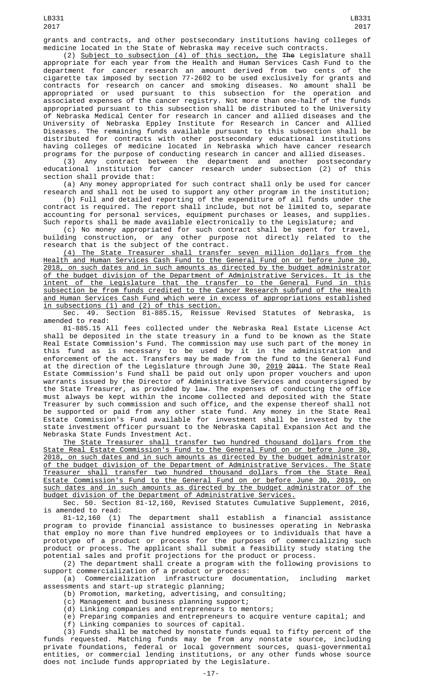grants and contracts, and other postsecondary institutions having colleges of medicine located in the State of Nebraska may receive such contracts.

(2) Subject to subsection (4) of this section, the The Legislature shall appropriate for each year from the Health and Human Services Cash Fund to the department for cancer research an amount derived from two cents of the cigarette tax imposed by section 77-2602 to be used exclusively for grants and contracts for research on cancer and smoking diseases. No amount shall be appropriated or used pursuant to this subsection for the operation and associated expenses of the cancer registry. Not more than one-half of the funds appropriated pursuant to this subsection shall be distributed to the University of Nebraska Medical Center for research in cancer and allied diseases and the University of Nebraska Eppley Institute for Research in Cancer and Allied Diseases. The remaining funds available pursuant to this subsection shall be distributed for contracts with other postsecondary educational institutions having colleges of medicine located in Nebraska which have cancer research programs for the purpose of conducting research in cancer and allied diseases.

(3) Any contract between the department and another postsecondary educational institution for cancer research under subsection (2) of this section shall provide that:

(a) Any money appropriated for such contract shall only be used for cancer research and shall not be used to support any other program in the institution;

(b) Full and detailed reporting of the expenditure of all funds under the contract is required. The report shall include, but not be limited to, separate accounting for personal services, equipment purchases or leases, and supplies. Such reports shall be made available electronically to the Legislature; and

(c) No money appropriated for such contract shall be spent for travel, building construction, or any other purpose not directly related to the research that is the subject of the contract.

(4) The State Treasurer shall transfer seven million dollars from the Health and Human Services Cash Fund to the General Fund on or before June 30, 2018, on such dates and in such amounts as directed by the budget administrator of the budget division of the Department of Administrative Services. It is the intent of the Legislature that the transfer to the General Fund in this subsection be from funds credited to the Cancer Research subfund of the Health and Human Services Cash Fund which were in excess of appropriations established in subsections (1) and (2) of this section.

Sec. 49. Section 81-885.15, Reissue Revised Statutes of Nebraska, is amended to read:

81-885.15 All fees collected under the Nebraska Real Estate License Act shall be deposited in the state treasury in a fund to be known as the State Real Estate Commission's Fund. The commission may use such part of the money in this fund as is necessary to be used by it in the administration and enforcement of the act. Transfers may be made from the fund to the General Fund at the direction of the Legislature through June 30, <u>2019</u> <del>2011</del>. The State Real Estate Commission's Fund shall be paid out only upon proper vouchers and upon warrants issued by the Director of Administrative Services and countersigned by the State Treasurer, as provided by law. The expenses of conducting the office must always be kept within the income collected and deposited with the State Treasurer by such commission and such office, and the expense thereof shall not be supported or paid from any other state fund. Any money in the State Real Estate Commission's Fund available for investment shall be invested by the state investment officer pursuant to the Nebraska Capital Expansion Act and the Nebraska State Funds Investment Act.

The State Treasurer shall transfer two hundred thousand dollars from the State Real Estate Commission's Fund to the General Fund on or before June 30, 2018, on such dates and in such amounts as directed by the budget administrator of the budget division of the Department of Administrative Services. The State Treasurer shall transfer two hundred thousand dollars from the State Real Estate Commission's Fund to the General Fund on or before June 30, 2019, on such dates and in such amounts as directed by the budget administrator of the budget division of the Department of Administrative Services.

Sec. 50. Section 81-12,160, Revised Statutes Cumulative Supplement, 2016, is amended to read:<br>81-12,160 (1)

The department shall establish a financial assistance program to provide financial assistance to businesses operating in Nebraska that employ no more than five hundred employees or to individuals that have a prototype of a product or process for the purposes of commercializing such product or process. The applicant shall submit a feasibility study stating the potential sales and profit projections for the product or process.

(2) The department shall create a program with the following provisions to support commercialization of a product or process:

(a) Commercialization infrastructure documentation, including market assessments and start-up strategic planning;

(b) Promotion, marketing, advertising, and consulting;

- (c) Management and business planning support;
- (d) Linking companies and entrepreneurs to mentors;
- (e) Preparing companies and entrepreneurs to acquire venture capital; and (f) Linking companies to sources of capital.

(3) Funds shall be matched by nonstate funds equal to fifty percent of the funds requested. Matching funds may be from any nonstate source, including private foundations, federal or local government sources, quasi-governmental entities, or commercial lending institutions, or any other funds whose source does not include funds appropriated by the Legislature.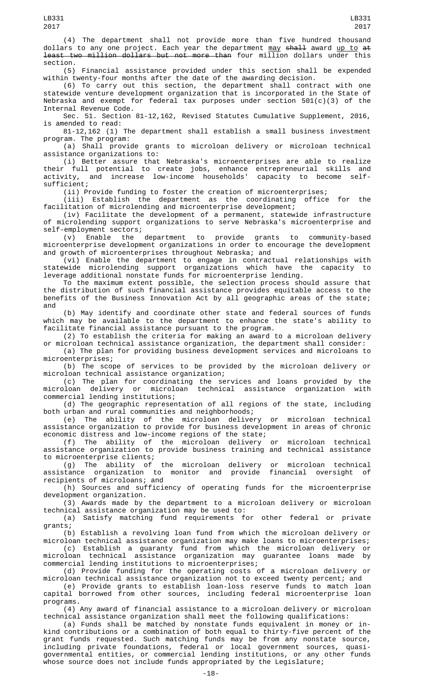(4) The department shall not provide more than five hundred thousand dollars to any one project. Each year the department  $\frac{may}{day}$  shall award up to at least two million dollars but not more than four million dollars under this section.

(5) Financial assistance provided under this section shall be expended within twenty-four months after the date of the awarding decision.

(6) To carry out this section, the department shall contract with one statewide venture development organization that is incorporated in the State of Nebraska and exempt for federal tax purposes under section  $501(c)(3)$  of the Internal Revenue Code.

Sec. 51. Section 81-12,162, Revised Statutes Cumulative Supplement, 2016, is amended to read:

81-12,162 (1) The department shall establish a small business investment program. The program:

(a) Shall provide grants to microloan delivery or microloan technical assistance organizations to:

(i) Better assure that Nebraska's microenterprises are able to realize their full potential to create jobs, enhance entrepreneurial skills and activity, and increase low-income households' capacity to become selfsufficient;

(ii) Provide funding to foster the creation of microenterprises;<br>(iii) Establish the department as the coordinating office for the (iii) Establish the department as the coordinating office for the facilitation of microlending and microenterprise development;

(iv) Facilitate the development of a permanent, statewide infrastructure of microlending support organizations to serve Nebraska's microenterprise and of microienaing ser.<br>self-employment sectors;<br>chable the department

(v) Enable the department to provide grants to community-based microenterprise development organizations in order to encourage the development and growth of microenterprises throughout Nebraska; and

(vi) Enable the department to engage in contractual relationships with statewide microlending support organizations which have the capacity to leverage additional nonstate funds for microenterprise lending.

To the maximum extent possible, the selection process should assure that the distribution of such financial assistance provides equitable access to the benefits of the Business Innovation Act by all geographic areas of the state; and

(b) May identify and coordinate other state and federal sources of funds which may be available to the department to enhance the state's ability to facilitate financial assistance pursuant to the program.

(2) To establish the criteria for making an award to a microloan delivery or microloan technical assistance organization, the department shall consider:

(a) The plan for providing business development services and microloans to microenterprises;

(b) The scope of services to be provided by the microloan delivery or microloan technical assistance organization;

(c) The plan for coordinating the services and loans provided by the<br>Doan delivery or microloan technical assistance organization with microloan delivery or microloan technical assistance organization with commercial lending institutions;

(d) The geographic representation of all regions of the state, including both urban and rural communities and neighborhoods;

(e) The ability of the microloan delivery or microloan technical assistance organization to provide for business development in areas of chronic economic distress and low-income regions of the state;

(f) The ability of the microloan delivery or microloan technical assistance organization to provide business training and technical assistance to microenterprise clients;

(g) The ability of the microloan delivery or microloan technical assistance organization to monitor and provide financial oversight of recipients of microloans; and

(h) Sources and sufficiency of operating funds for the microenterprise development organization.

(3) Awards made by the department to a microloan delivery or microloan technical assistance organization may be used to:

(a) Satisfy matching fund requirements for other federal or private grants;

(b) Establish a revolving loan fund from which the microloan delivery or microloan technical assistance organization may make loans to microenterprises;

(c) Establish a guaranty fund from which the microloan delivery or microloan technical assistance organization may guarantee loans made by commercial lending institutions to microenterprises;

(d) Provide funding for the operating costs of a microloan delivery or microloan technical assistance organization not to exceed twenty percent; and

(e) Provide grants to establish loan-loss reserve funds to match loan capital borrowed from other sources, including federal microenterprise loan programs.

(4) Any award of financial assistance to a microloan delivery or microloan technical assistance organization shall meet the following qualifications:

(a) Funds shall be matched by nonstate funds equivalent in money or inkind contributions or a combination of both equal to thirty-five percent of the grant funds requested. Such matching funds may be from any nonstate source, including private foundations, federal or local government sources, quasigovernmental entities, or commercial lending institutions, or any other funds whose source does not include funds appropriated by the Legislature;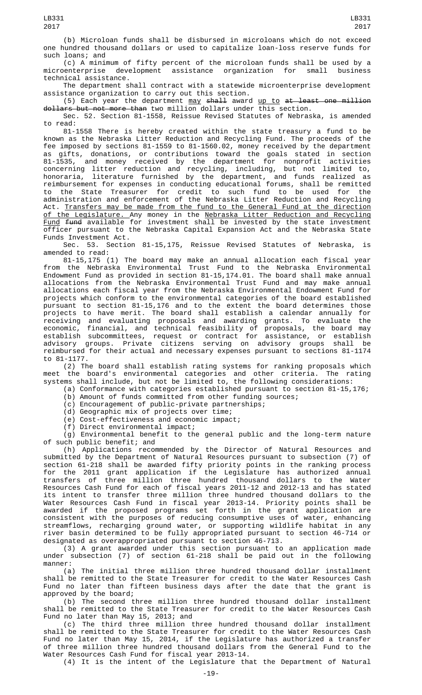2017

LB331

(b) Microloan funds shall be disbursed in microloans which do not exceed one hundred thousand dollars or used to capitalize loan-loss reserve funds for such loans; and

(c) A minimum of fifty percent of the microloan funds shall be used by a<br>)enterprise development assistance organization for small business microenterprise development assistance organization for small business technical assistance.

The department shall contract with a statewide microenterprise development assistance organization to carry out this section.

 $(5)$  Each year the department  $\frac{may}{day}$  shall award  $\frac{up}{up}$  to at least one million dollars but not more than two million dollars under this section.

Sec. 52. Section 81-1558, Reissue Revised Statutes of Nebraska, is amended to read:

81-1558 There is hereby created within the state treasury a fund to be known as the Nebraska Litter Reduction and Recycling Fund. The proceeds of the fee imposed by sections 81-1559 to 81-1560.02, money received by the department as gifts, donations, or contributions toward the goals stated in section 81-1535, and money received by the department for nonprofit activities concerning litter reduction and recycling, including, but not limited to, honoraria, literature furnished by the department, and funds realized as reimbursement for expenses in conducting educational forums, shall be remitted to the State Treasurer for credit to such fund to be used for the administration and enforcement of the Nebraska Litter Reduction and Recycling Act. Transfers may be made from the fund to the General Fund at the direction <u>of the Legislature. A</u>ny money in the <u>Nebraska Litter Reduction and Recycling</u> Fund fund available for investment shall be invested by the state investment officer pursuant to the Nebraska Capital Expansion Act and the Nebraska State Funds Investment Act.

Sec. 53. Section 81-15,175, Reissue Revised Statutes of Nebraska, is amended to read:

81-15,175 (1) The board may make an annual allocation each fiscal year from the Nebraska Environmental Trust Fund to the Nebraska Environmental Endowment Fund as provided in section 81-15,174.01. The board shall make annual allocations from the Nebraska Environmental Trust Fund and may make annual allocations each fiscal year from the Nebraska Environmental Endowment Fund for projects which conform to the environmental categories of the board established pursuant to section 81-15,176 and to the extent the board determines those projects to have merit. The board shall establish a calendar annually for receiving and evaluating proposals and awarding grants. To evaluate the economic, financial, and technical feasibility of proposals, the board may establish subcommittees, request or contract for assistance, or establish advisory groups. Private citizens serving on advisory groups shall be reimbursed for their actual and necessary expenses pursuant to sections 81-1174 to 81-1177.

(2) The board shall establish rating systems for ranking proposals which meet the board's environmental categories and other criteria. The rating systems shall include, but not be limited to, the following considerations:

(a) Conformance with categories established pursuant to section 81-15,176;

- (b) Amount of funds committed from other funding sources;
- (c) Encouragement of public-private partnerships;
- (d) Geographic mix of projects over time;
- (e) Cost-effectiveness and economic impact;
- (f) Direct environmental impact;

(g) Environmental benefit to the general public and the long-term nature of such public benefit; and

(h) Applications recommended by the Director of Natural Resources and submitted by the Department of Natural Resources pursuant to subsection (7) of section 61-218 shall be awarded fifty priority points in the ranking process for the 2011 grant application if the Legislature has authorized annual transfers of three million three hundred thousand dollars to the Water Resources Cash Fund for each of fiscal years 2011-12 and 2012-13 and has stated its intent to transfer three million three hundred thousand dollars to the Water Resources Cash Fund in fiscal year 2013-14. Priority points shall be awarded if the proposed programs set forth in the grant application are consistent with the purposes of reducing consumptive uses of water, enhancing streamflows, recharging ground water, or supporting wildlife habitat in any river basin determined to be fully appropriated pursuant to section 46-714 or designated as overappropriated pursuant to section 46-713.

(3) A grant awarded under this section pursuant to an application made under subsection (7) of section 61-218 shall be paid out in the following manner:

(a) The initial three million three hundred thousand dollar installment shall be remitted to the State Treasurer for credit to the Water Resources Cash Fund no later than fifteen business days after the date that the grant is approved by the board;

(b) The second three million three hundred thousand dollar installment shall be remitted to the State Treasurer for credit to the Water Resources Cash Fund no later than May 15, 2013; and

(c) The third three million three hundred thousand dollar installment shall be remitted to the State Treasurer for credit to the Water Resources Cash Fund no later than May 15, 2014, if the Legislature has authorized a transfer of three million three hundred thousand dollars from the General Fund to the Water Resources Cash Fund for fiscal year 2013-14.

(4) It is the intent of the Legislature that the Department of Natural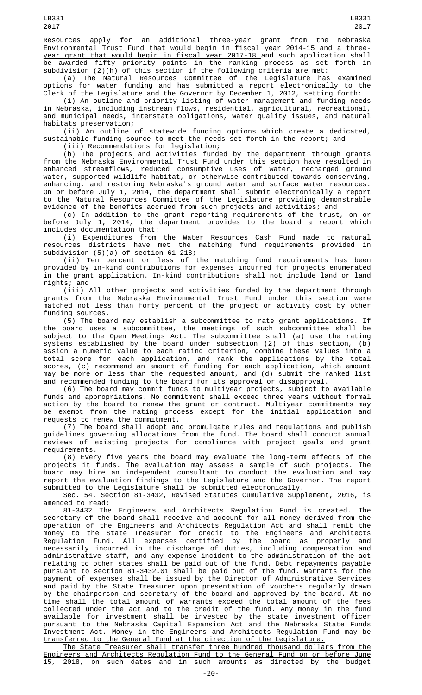Resources apply for an additional three-year grant from the Nebraska Environmental Trust Fund that would begin in fiscal year 2014-15 <u>and a three-</u> year grant that would begin in fiscal year 2017-18 and such application shall be awarded fifty priority points in the ranking process as set forth in subdivision (2)(h) of this section if the following criteria are met:

(a) The Natural Resources Committee of the Legislature has examined options for water funding and has submitted a report electronically to the Clerk of the Legislature and the Governor by December 1, 2012, setting forth:

(i) An outline and priority listing of water management and funding needs in Nebraska, including instream flows, residential, agricultural, recreational, and municipal needs, interstate obligations, water quality issues, and natural habitats preservation;

(ii) An outline of statewide funding options which create a dedicated, sustainable funding source to meet the needs set forth in the report; and

(iii) Recommendations for legislation;

(b) The projects and activities funded by the department through grants from the Nebraska Environmental Trust Fund under this section have resulted in enhanced streamflows, reduced consumptive uses of water, recharged ground water, supported wildlife habitat, or otherwise contributed towards conserving, enhancing, and restoring Nebraska's ground water and surface water resources. On or before July 1, 2014, the department shall submit electronically a report to the Natural Resources Committee of the Legislature providing demonstrable evidence of the benefits accrued from such projects and activities; and

(c) In addition to the grant reporting requirements of the trust, on or before July 1, 2014, the department provides to the board a report which includes documentation that:

(i) Expenditures from the Water Resources Cash Fund made to natural resources districts have met the matching fund requirements provided in subdivision (5)(a) of section 61-218;

(ii) Ten percent or less of the matching fund requirements has been provided by in-kind contributions for expenses incurred for projects enumerated in the grant application. In-kind contributions shall not include land or land rights; and

(iii) All other projects and activities funded by the department through grants from the Nebraska Environmental Trust Fund under this section were matched not less than forty percent of the project or activity cost by other funding sources.

(5) The board may establish a subcommittee to rate grant applications. If the board uses a subcommittee, the meetings of such subcommittee shall be subject to the Open Meetings Act. The subcommittee shall (a) use the rating systems established by the board under subsection (2) of this section, (b) assign a numeric value to each rating criterion, combine these values into a total score for each application, and rank the applications by the total scores, (c) recommend an amount of funding for each application, which amount may be more or less than the requested amount, and (d) submit the ranked list and recommended funding to the board for its approval or disapproval.

(6) The board may commit funds to multiyear projects, subject to available funds and appropriations. No commitment shall exceed three years without formal action by the board to renew the grant or contract. Multiyear commitments may be exempt from the rating process except for the initial application and requests to renew the commitment.

(7) The board shall adopt and promulgate rules and regulations and publish guidelines governing allocations from the fund. The board shall conduct annual reviews of existing projects for compliance with project goals and grant requirements.

(8) Every five years the board may evaluate the long-term effects of the projects it funds. The evaluation may assess a sample of such projects. The board may hire an independent consultant to conduct the evaluation and may report the evaluation findings to the Legislature and the Governor. The report submitted to the Legislature shall be submitted electronically.

Sec. 54. Section 81-3432, Revised Statutes Cumulative Supplement, 2016, is amended to read:

81-3432 The Engineers and Architects Regulation Fund is created. The secretary of the board shall receive and account for all money derived from the operation of the Engineers and Architects Regulation Act and shall remit the money to the State Treasurer for credit to the Engineers and Architects Regulation Fund. All expenses certified by the board as properly and necessarily incurred in the discharge of duties, including compensation and administrative staff, and any expense incident to the administration of the act relating to other states shall be paid out of the fund. Debt repayments payable pursuant to section 81-3432.01 shall be paid out of the fund. Warrants for the payment of expenses shall be issued by the Director of Administrative Services and paid by the State Treasurer upon presentation of vouchers regularly drawn by the chairperson and secretary of the board and approved by the board. At no time shall the total amount of warrants exceed the total amount of the fees collected under the act and to the credit of the fund. Any money in the fund available for investment shall be invested by the state investment officer pursuant to the Nebraska Capital Expansion Act and the Nebraska State Funds Investment Act. Money in the Engineers and Architects Regulation Fund may be transferred to the General Fund at the direction of the Legislature.

The State Treasurer shall transfer three hundred thousand dollars from the Engineers and Architects Regulation Fund to the General Fund on or before June 15, 2018, on such dates and in such amounts as directed by the budget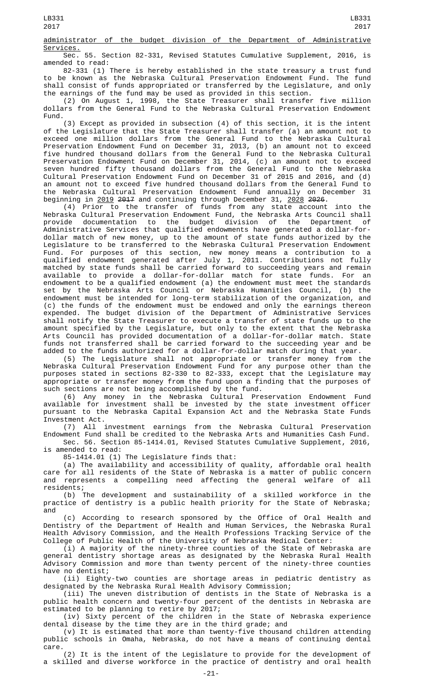administrator of the budget division of the Department of Administrative Services.

Sec. 55. Section 82-331, Revised Statutes Cumulative Supplement, 2016, is amended to read:

82-331 (1) There is hereby established in the state treasury a trust fund to be known as the Nebraska Cultural Preservation Endowment Fund. The fund shall consist of funds appropriated or transferred by the Legislature, and only the earnings of the fund may be used as provided in this section.

(2) On August 1, 1998, the State Treasurer shall transfer five million dollars from the General Fund to the Nebraska Cultural Preservation Endowment Fund.

(3) Except as provided in subsection (4) of this section, it is the intent of the Legislature that the State Treasurer shall transfer (a) an amount not to exceed one million dollars from the General Fund to the Nebraska Cultural Preservation Endowment Fund on December 31, 2013, (b) an amount not to exceed five hundred thousand dollars from the General Fund to the Nebraska Cultural Preservation Endowment Fund on December 31, 2014, (c) an amount not to exceed seven hundred fifty thousand dollars from the General Fund to the Nebraska Cultural Preservation Endowment Fund on December 31 of 2015 and 2016, and (d) an amount not to exceed five hundred thousand dollars from the General Fund to the Nebraska Cultural Preservation Endowment Fund annually on December 31 beginning in <u>2019</u> <del>2017</del> and continuing through December 31, <u>2028</u> <del>2026</del>.

(4) Prior to the transfer of funds from any state account into the Nebraska Cultural Preservation Endowment Fund, the Nebraska Arts Council shall provide documentation to the budget division of the Department of Administrative Services that qualified endowments have generated a dollar-fordollar match of new money, up to the amount of state funds authorized by the Legislature to be transferred to the Nebraska Cultural Preservation Endowment Fund. For purposes of this section, new money means a contribution to a qualified endowment generated after July 1, 2011. Contributions not fully matched by state funds shall be carried forward to succeeding years and remain available to provide a dollar-for-dollar match for state funds. For an endowment to be a qualified endowment (a) the endowment must meet the standards set by the Nebraska Arts Council or Nebraska Humanities Council, (b) the endowment must be intended for long-term stabilization of the organization, and (c) the funds of the endowment must be endowed and only the earnings thereon expended. The budget division of the Department of Administrative Services shall notify the State Treasurer to execute a transfer of state funds up to the amount specified by the Legislature, but only to the extent that the Nebraska Arts Council has provided documentation of a dollar-for-dollar match. State funds not transferred shall be carried forward to the succeeding year and be added to the funds authorized for a dollar-for-dollar match during that year.

(5) The Legislature shall not appropriate or transfer money from the Nebraska Cultural Preservation Endowment Fund for any purpose other than the purposes stated in sections 82-330 to 82-333, except that the Legislature may appropriate or transfer money from the fund upon a finding that the purposes of such sections are not being accomplished by the fund.

(6) Any money in the Nebraska Cultural Preservation Endowment Fund available for investment shall be invested by the state investment officer pursuant to the Nebraska Capital Expansion Act and the Nebraska State Funds Investment Act.

(7) All investment earnings from the Nebraska Cultural Preservation Endowment Fund shall be credited to the Nebraska Arts and Humanities Cash Fund. Sec. 56. Section 85-1414.01, Revised Statutes Cumulative Supplement, 2016,

is amended to read:

85-1414.01 (1) The Legislature finds that:

(a) The availability and accessibility of quality, affordable oral health care for all residents of the State of Nebraska is a matter of public concern and represents a compelling need affecting the general welfare of all residents;

(b) The development and sustainability of a skilled workforce in the practice of dentistry is a public health priority for the State of Nebraska; and

(c) According to research sponsored by the Office of Oral Health and Dentistry of the Department of Health and Human Services, the Nebraska Rural Health Advisory Commission, and the Health Professions Tracking Service of the College of Public Health of the University of Nebraska Medical Center:

(i) A majority of the ninety-three counties of the State of Nebraska are general dentistry shortage areas as designated by the Nebraska Rural Health Advisory Commission and more than twenty percent of the ninety-three counties have no dentist;

(ii) Eighty-two counties are shortage areas in pediatric dentistry as designated by the Nebraska Rural Health Advisory Commission;

(iii) The uneven distribution of dentists in the State of Nebraska is a public health concern and twenty-four percent of the dentists in Nebraska are estimated to be planning to retire by 2017;

(iv) Sixty percent of the children in the State of Nebraska experience dental disease by the time they are in the third grade; and

(v) It is estimated that more than twenty-five thousand children attending public schools in Omaha, Nebraska, do not have a means of continuing dental care.

(2) It is the intent of the Legislature to provide for the development of a skilled and diverse workforce in the practice of dentistry and oral health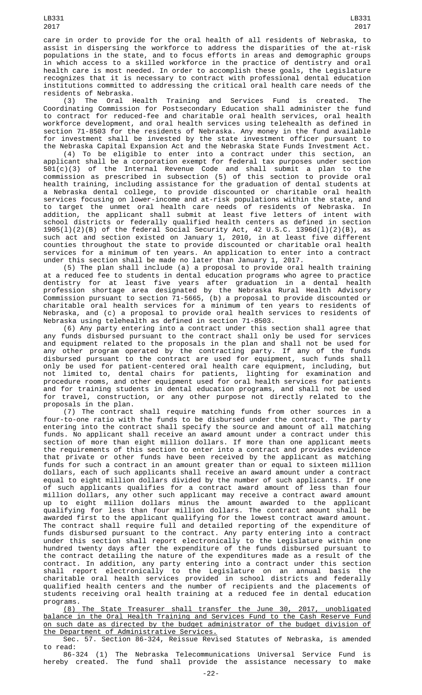care in order to provide for the oral health of all residents of Nebraska, to assist in dispersing the workforce to address the disparities of the at-risk populations in the state, and to focus efforts in areas and demographic groups in which access to a skilled workforce in the practice of dentistry and oral health care is most needed. In order to accomplish these goals, the Legislature recognizes that it is necessary to contract with professional dental education institutions committed to addressing the critical oral health care needs of the residents of Nebraska.

(3) The Oral Health Training and Services Fund is created. The Coordinating Commission for Postsecondary Education shall administer the fund to contract for reduced-fee and charitable oral health services, oral health workforce development, and oral health services using telehealth as defined in section 71-8503 for the residents of Nebraska. Any money in the fund available for investment shall be invested by the state investment officer pursuant to the Nebraska Capital Expansion Act and the Nebraska State Funds Investment Act.

(4) To be eligible to enter into a contract under this section, an applicant shall be a corporation exempt for federal tax purposes under section 501(c)(3) of the Internal Revenue Code and shall submit a plan to the commission as prescribed in subsection (5) of this section to provide oral health training, including assistance for the graduation of dental students at a Nebraska dental college, to provide discounted or charitable oral health services focusing on lower-income and at-risk populations within the state, and to target the unmet oral health care needs of residents of Nebraska. In addition, the applicant shall submit at least five letters of intent with school districts or federally qualified health centers as defined in section 1905(l)(2)(B) of the federal Social Security Act, 42 U.S.C. 1396d(l)(2)(B), as such act and section existed on January 1, 2010, in at least five different counties throughout the state to provide discounted or charitable oral health services for a minimum of ten years. An application to enter into a contract under this section shall be made no later than January 1, 2017.

(5) The plan shall include (a) a proposal to provide oral health training at a reduced fee to students in dental education programs who agree to practice dentistry for at least five years after graduation in a dental health profession shortage area designated by the Nebraska Rural Health Advisory Commission pursuant to section 71-5665, (b) a proposal to provide discounted or charitable oral health services for a minimum of ten years to residents of Nebraska, and (c) a proposal to provide oral health services to residents of Nebraska using telehealth as defined in section 71-8503.

(6) Any party entering into a contract under this section shall agree that any funds disbursed pursuant to the contract shall only be used for services and equipment related to the proposals in the plan and shall not be used for any other program operated by the contracting party. If any of the funds disbursed pursuant to the contract are used for equipment, such funds shall only be used for patient-centered oral health care equipment, including, but not limited to, dental chairs for patients, lighting for examination and procedure rooms, and other equipment used for oral health services for patients and for training students in dental education programs, and shall not be used for travel, construction, or any other purpose not directly related to the proposals in the plan.

(7) The contract shall require matching funds from other sources in a four-to-one ratio with the funds to be disbursed under the contract. The party entering into the contract shall specify the source and amount of all matching funds. No applicant shall receive an award amount under a contract under this section of more than eight million dollars. If more than one applicant meets the requirements of this section to enter into a contract and provides evidence that private or other funds have been received by the applicant as matching funds for such a contract in an amount greater than or equal to sixteen million dollars, each of such applicants shall receive an award amount under a contract equal to eight million dollars divided by the number of such applicants. If one of such applicants qualifies for a contract award amount of less than four million dollars, any other such applicant may receive a contract award amount up to eight million dollars minus the amount awarded to the applicant qualifying for less than four million dollars. The contract amount shall be awarded first to the applicant qualifying for the lowest contract award amount. The contract shall require full and detailed reporting of the expenditure of funds disbursed pursuant to the contract. Any party entering into a contract under this section shall report electronically to the Legislature within one hundred twenty days after the expenditure of the funds disbursed pursuant to the contract detailing the nature of the expenditures made as a result of the contract. In addition, any party entering into a contract under this section shall report electronically to the Legislature on an annual basis the charitable oral health services provided in school districts and federally qualified health centers and the number of recipients and the placements of students receiving oral health training at a reduced fee in dental education programs.

(8) The State Treasurer shall transfer the June 30, 2017, unobligated balance in the Oral Health Training and Services Fund to the Cash Reserve Fund on such date as directed by the budget administrator of the budget division of the Department of Administrative Services.

Sec. 57. Section 86-324, Reissue Revised Statutes of Nebraska, is amended to read:

86-324 (1) The Nebraska Telecommunications Universal Service Fund is hereby created. The fund shall provide the assistance necessary to make

LB331 2017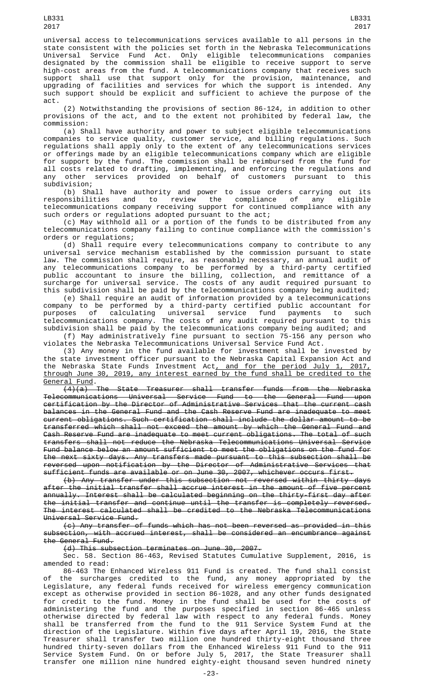LB331 2017

support shall use that support only for the provision, maintenance, and upgrading of facilities and services for which the support is intended. Any such support should be explicit and sufficient to achieve the purpose of the act.

(2) Notwithstanding the provisions of section 86-124, in addition to other provisions of the act, and to the extent not prohibited by federal law, the commission:

(a) Shall have authority and power to subject eligible telecommunications companies to service quality, customer service, and billing regulations. Such regulations shall apply only to the extent of any telecommunications services or offerings made by an eligible telecommunications company which are eligible for support by the fund. The commission shall be reimbursed from the fund for all costs related to drafting, implementing, and enforcing the regulations and any other services provided on behalf of customers pursuant to this subdivision;

(b) Shall have authority and power to issue orders carrying out its responsibilities and to review the compliance of any eligible telecommunications company receiving support for continued compliance with any such orders or regulations adopted pursuant to the act;

(c) May withhold all or a portion of the funds to be distributed from any telecommunications company failing to continue compliance with the commission's orders or regulations;

(d) Shall require every telecommunications company to contribute to any universal service mechanism established by the commission pursuant to state law. The commission shall require, as reasonably necessary, an annual audit of any telecommunications company to be performed by a third-party certified public accountant to insure the billing, collection, and remittance of a surcharge for universal service. The costs of any audit required pursuant to this subdivision shall be paid by the telecommunications company being audited;

(e) Shall require an audit of information provided by a telecommunications company to be performed by a third-party certified public accountant for purposes of calculating universal service fund payments to such telecommunications company. The costs of any audit required pursuant to this subdivision shall be paid by the telecommunications company being audited; and

(f) May administratively fine pursuant to section 75-156 any person who violates the Nebraska Telecommunications Universal Service Fund Act.

(3) Any money in the fund available for investment shall be invested by the state investment officer pursuant to the Nebraska Capital Expansion Act and the Nebraska State Funds Investment Act<u>, and for the period July 1, 2017,</u> through June 30, 2019, any interest earned by the fund shall be credited to the General Fund.

(4)(a) The State Treasurer shall transfer funds from the Nebraska Telecommunications Universal Service Fund to the General Fund upon certification by the Director of Administrative Services that the current cash balances in the General Fund and the Cash Reserve Fund are inadequate to meet current obligations. Such certification shall include the dollar amount to be transferred which shall not exceed the amount by which the General Fund and Cash Reserve Fund are inadequate to meet current obligations. The total of such transfers shall not reduce the Nebraska Telecommunications Universal Service Fund balance below an amount sufficient to meet the obligations on the fund for the next sixty days. Any transfers made pursuant to this subsection shall be reversed upon notification by the Director of Administrative Services that sufficient funds are available or on June 30, 2007, whichever occurs first.

(b) Any transfer under this subsection not reversed within thirty days after the initial transfer shall accrue interest in the amount of five percent annually. Interest shall be calculated beginning on the thirty-first day after the initial transfer and continue until the transfer is completely reversed. The interest calculated shall be credited to the Nebraska Telecommunications Universal Service Fund.

(c) Any transfer of funds which has not been reversed as provided in this subsection, with accrued interest, shall be considered an encumbrance against the General Fund.

(d) This subsection terminates on June 30, 2007.

Sec. 58. Section 86-463, Revised Statutes Cumulative Supplement, 2016, is amended to read:

86-463 The Enhanced Wireless 911 Fund is created. The fund shall consist of the surcharges credited to the fund, any money appropriated by the Legislature, any federal funds received for wireless emergency communication except as otherwise provided in section 86-1028, and any other funds designated for credit to the fund. Money in the fund shall be used for the costs of administering the fund and the purposes specified in section 86-465 unless otherwise directed by federal law with respect to any federal funds. Money shall be transferred from the fund to the 911 Service System Fund at the direction of the Legislature. Within five days after April 19, 2016, the State Treasurer shall transfer two million one hundred thirty-eight thousand three hundred thirty-seven dollars from the Enhanced Wireless 911 Fund to the 911 Service System Fund. On or before July 5, 2017, the State Treasurer shall transfer one million nine hundred eighty-eight thousand seven hundred ninety